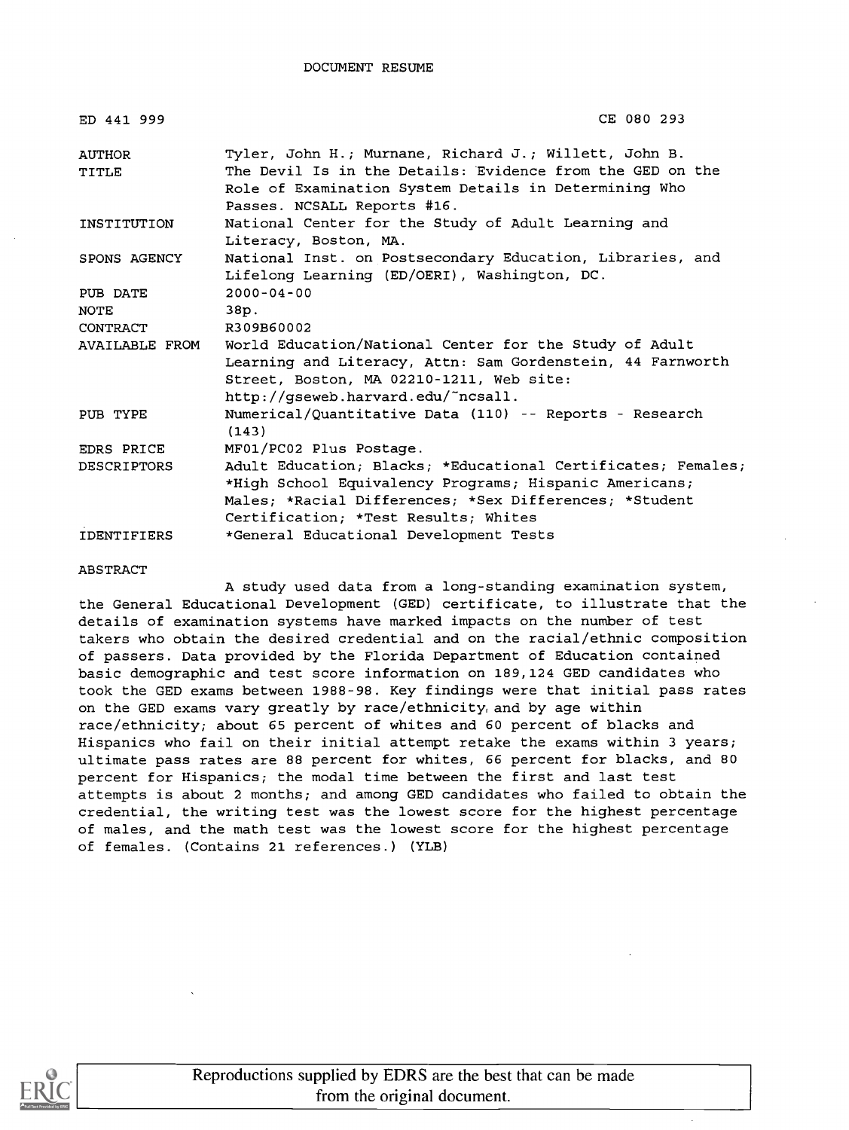| ED 441 999         | CE 080 293                                                                                                         |
|--------------------|--------------------------------------------------------------------------------------------------------------------|
| AUTHOR<br>TITLE    | Tyler, John H.; Murnane, Richard J.; Willett, John B.<br>The Devil Is in the Details: Evidence from the GED on the |
|                    | Role of Examination System Details in Determining Who<br>Passes. NCSALL Reports #16.                               |
| INSTITUTION        | National Center for the Study of Adult Learning and<br>Literacy, Boston, MA.                                       |
| SPONS AGENCY       | National Inst. on Postsecondary Education, Libraries, and<br>Lifelong Learning (ED/OERI), Washington, DC.          |
| PUB DATE           | $2000 - 04 - 00$                                                                                                   |
| NOTE               | 38p.                                                                                                               |
| CONTRACT           | R309B60002                                                                                                         |
| AVAILABLE FROM     | World Education/National Center for the Study of Adult                                                             |
|                    | Learning and Literacy, Attn: Sam Gordenstein, 44 Farnworth                                                         |
|                    | Street, Boston, MA 02210-1211, Web site:                                                                           |
|                    | http://gseweb.harvard.edu/~ncsall.                                                                                 |
| PUB TYPE           | Numerical/Quantitative Data (110) -- Reports - Research<br>(143)                                                   |
| <b>EDRS PRICE</b>  | MF01/PC02 Plus Postage.                                                                                            |
| <b>DESCRIPTORS</b> | Adult Education; Blacks; *Educational Certificates; Females;                                                       |
|                    | *High School Equivalency Programs; Hispanic Americans;                                                             |
|                    | Males; *Racial Differences; *Sex Differences; *Student                                                             |
|                    | Certification; *Test Results; Whites                                                                               |
| <b>IDENTIFIERS</b> | *General Educational Development Tests                                                                             |

#### ABSTRACT

A study used data from a long-standing examination system, the General Educational Development (GED) certificate, to illustrate that the details of examination systems have marked impacts on the number of test takers who obtain the desired credential and on the racial/ethnic composition of passers. Data provided by the Florida Department of Education contained basic demographic and test score information on 189,124 GED candidates who took the GED exams between 1988-98. Key findings were that initial pass rates on the GED exams vary greatly by race/ethnicity, and by age within race/ethnicity; about 65 percent of whites and 60 percent of blacks and Hispanics who fail on their initial attempt retake the exams within 3 years; ultimate pass rates are 88 percent for whites, 66 percent for blacks, and 80 percent for Hispanics; the modal time between the first and last test attempts is about 2 months; and among GED candidates who failed to obtain the credential, the writing test was the lowest score for the highest percentage of males, and the math test was the lowest score for the highest percentage of females. (Contains 21 references.) (YLB)

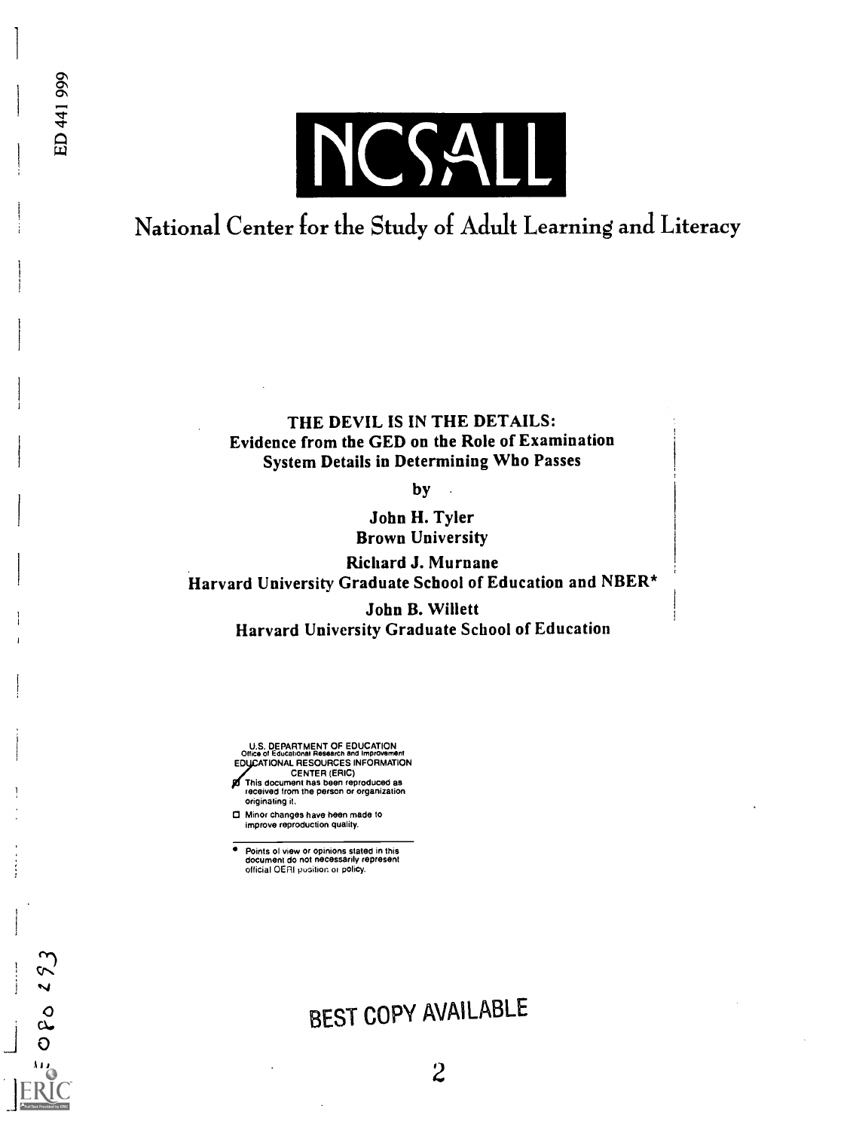

ED 441 999

 $\circ$  $\mathbf{a}$ 

# National Center for the Study of Adult Learning and Literacy

### THE DEVIL IS IN THE DETAILS: Evidence from the GED on the Role of Examination System Details in Determining Who Passes

by

John H. Tyler Brown University

Richard J. Murnane Harvard University Graduate School of Education and NBER\*

> John B. Willett Harvard University Graduate School of Education

U.S. DEPARTMENT OF EDUCATION Office of Educational Research and Improvement EDUCATIONAL RESOURCES INFORMATION

- CENTER (ERIC) This document has been reproduced as received from the person or organization originating it,
- Minor changes have been made to improve reproduction quality.

Points of view or opinions stated in this document do not necessarily represent official OERI ousition or policy.

# BEST COPY AVAILABLE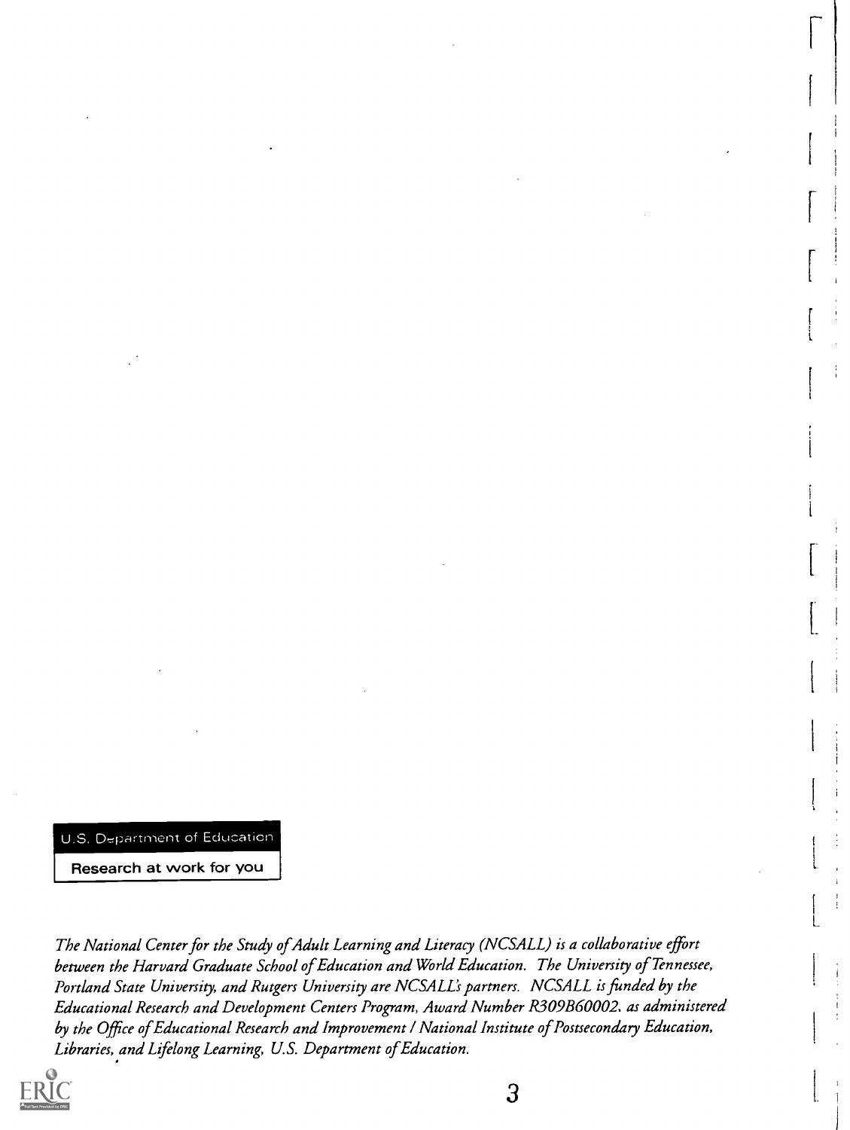U.S. Department of Education

Research at work for you

The National Center for the Study of Adult Learning and Literacy (NCSALL) is a collaborative effort between the Harvard Graduate School of Education and World Education. The University of Tennessee, Portland State University, and Rutgers University are NCSALL's partners. NCSALL is funded by the Educational Research and Development Centers Program, Award Number R309B60002. as administered by the Office of Educational Research and Improvement / National Institute of Postsecondary Education, Libraries, and Lifelong Learning, U.S. Department of Education.

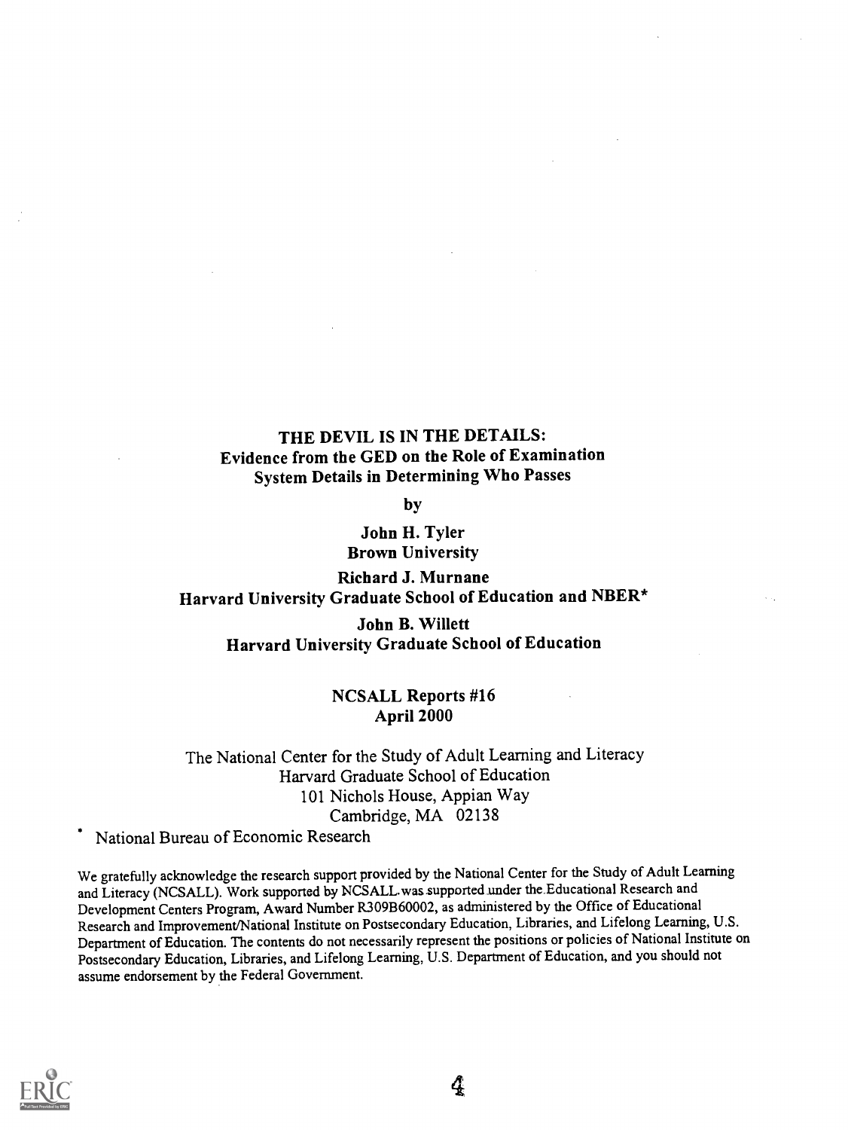## THE DEVIL IS IN THE DETAILS: Evidence from the GED on the Role of Examination System Details in Determining Who Passes

by

John H. Tyler Brown University

Richard J. Murnane Harvard University Graduate School of Education and NBER\*

John B. Willett Harvard University Graduate School of Education

#### NCSALL Reports #16 April 2000

The National Center for the Study of Adult Learning and Literacy Harvard Graduate School of Education 101 Nichols House, Appian Way Cambridge, MA 02138

National Bureau of Economic Research

We gratefully acknowledge the research support provided by the National Center for the Study of Adult Learning and Literacy (NCSALL). Work supported by NCSALL was supported under the Educational Research and Development Centers Program, Award Number R309B60002, as administered by the Office of Educational Research and Improvement/National Institute on Postsecondary Education, Libraries, and Lifelong Learning, U.S. Department of Education. The contents do not necessarily represent the positions or policies of National Institute on Postsecondary Education, Libraries, and Lifelong Learning, U.S. Department of Education, and you should not assume endorsement by the Federal Government.



4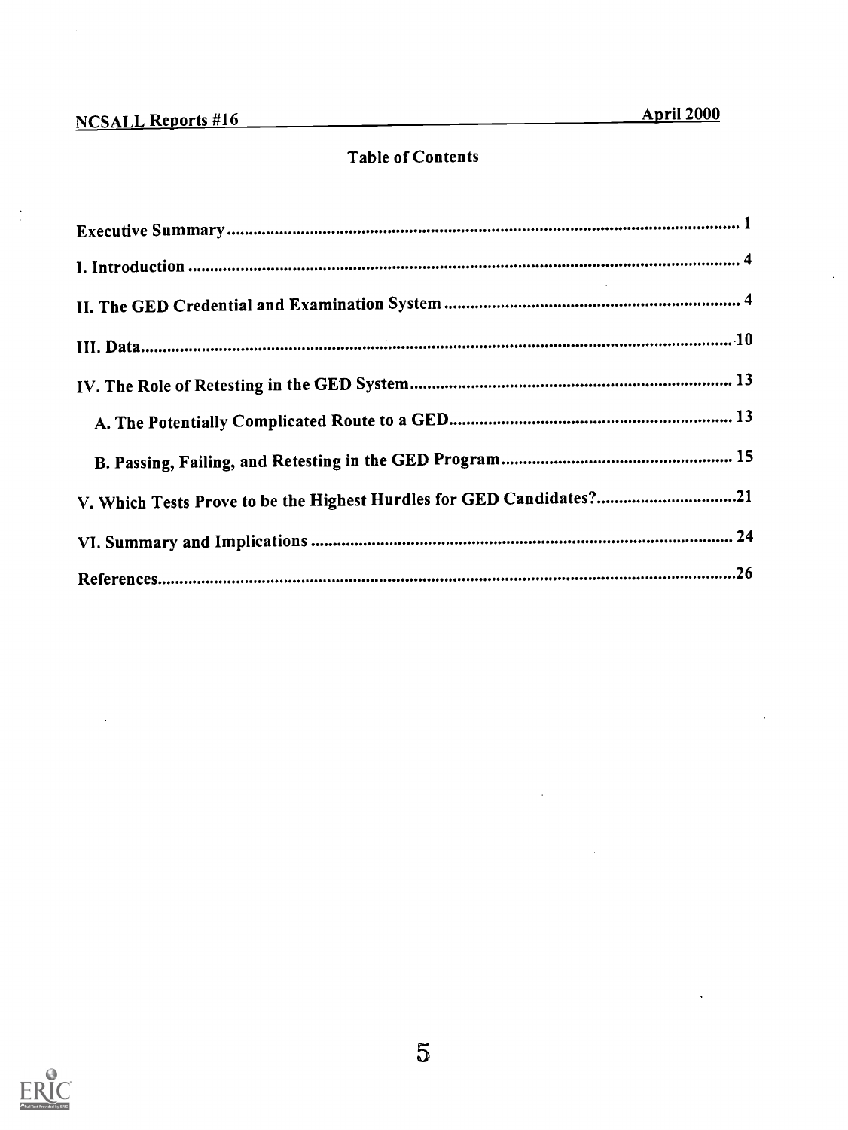$\ddot{\phantom{a}}$ 

# Table of Contents

| V. Which Tests Prove to be the Highest Hurdles for GED Candidates?21 |
|----------------------------------------------------------------------|
|                                                                      |
|                                                                      |

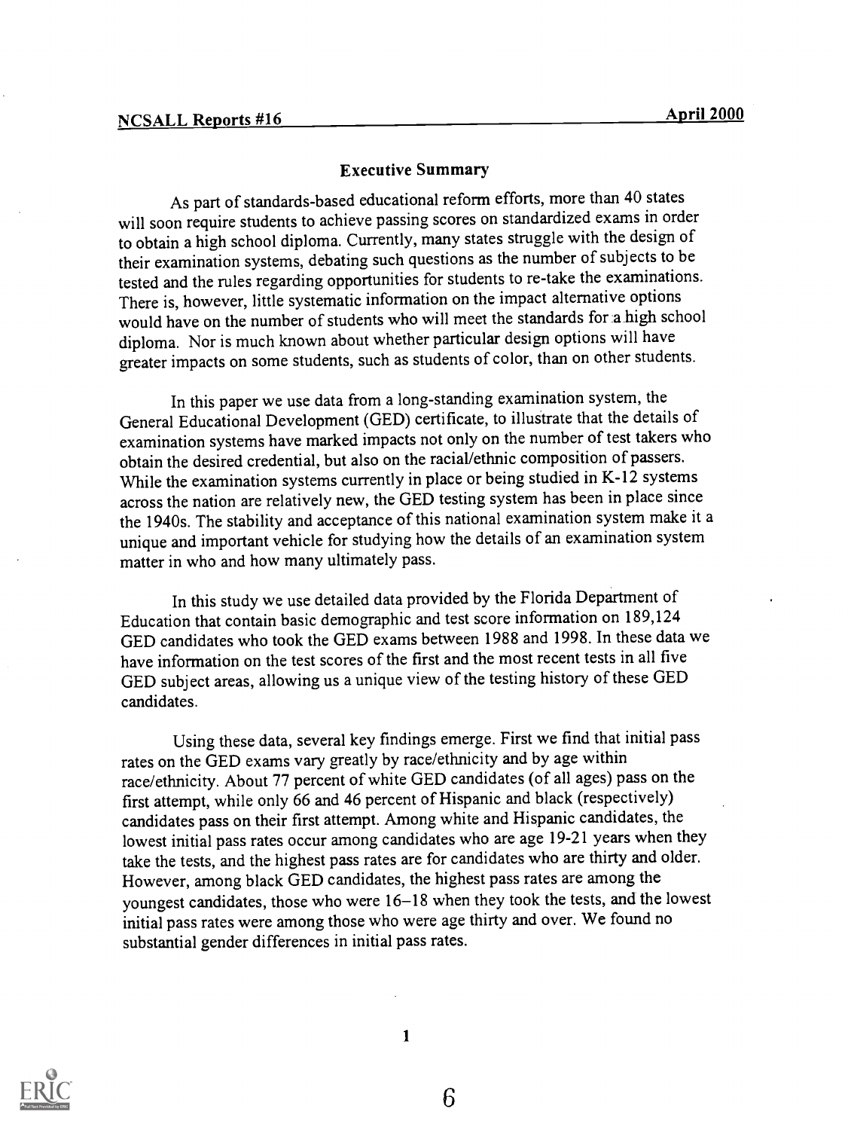#### Executive Summary

As part of standards-based educational reform efforts, more than 40 states will soon require students to achieve passing scores on standardized exams in order to obtain a high school diploma. Currently, many states struggle with the design of their examination systems, debating such questions as the number of subjects to be tested and the rules regarding opportunities for students to re-take the examinations. There is, however, little systematic information on the impact alternative options would have on the number of students who will meet the standards for a high school diploma. Nor is much known about whether particular design options will have greater impacts on some students, such as students of color, than on other students.

In this paper we use data from a long-standing examination system, the General Educational Development (GED) certificate, to illustrate that the details of examination systems have marked impacts not only on the number of test takers who obtain the desired credential, but also on the racial/ethnic composition of passers. While the examination systems currently in place or being studied in K-12 systems across the nation are relatively new, the GED testing system has been in place since the 1940s. The stability and acceptance of this national examination system make it a unique and important vehicle for studying how the details of an examination system matter in who and how many ultimately pass.

In this study we use detailed data provided by the Florida Department of Education that contain basic demographic and test score information on 189,124 GED candidates who took the GED exams between 1988 and 1998. In these data we have information on the test scores of the first and the most recent tests in all five GED subject areas, allowing us a unique view of the testing history of these GED candidates.

Using these data, several key findings emerge. First we find that initial pass rates on the GED exams vary greatly by race/ethnicity and by age within race/ethnicity. About 77 percent of white GED candidates (of all ages) pass on the first attempt, while only 66 and 46 percent of Hispanic and black (respectively) candidates pass on their first attempt. Among white and Hispanic candidates, the lowest initial pass rates occur among candidates who are age 19-21 years when they take the tests, and the highest pass rates are for candidates who are thirty and older. However, among black GED candidates, the highest pass rates are among the youngest candidates, those who were 16-18 when they took the tests, and the lowest initial pass rates were among those who were age thirty and over. We found no substantial gender differences in initial pass rates.



6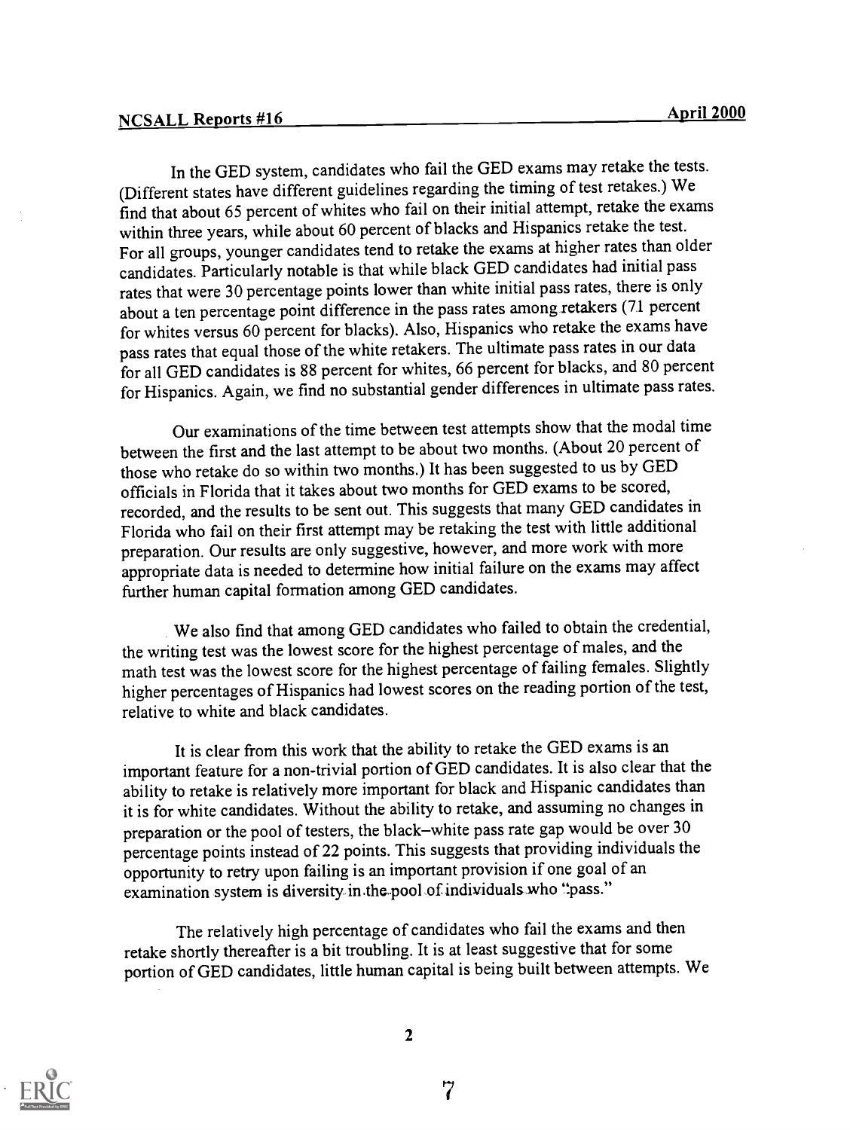In the GED system, candidates who fail the GED exams may retake the tests. (Different states have different guidelines regarding the timing of test retakes.) We find that about 65 percent of whites who fail on their initial attempt, retake the exams within three years, while about 60 percent of blacks and Hispanics retake the test. For all groups, younger candidates tend to retake the exams at higher rates than older candidates. Particularly notable is that while black GED candidates had initial pass rates that were 30 percentage points lower than white initial pass rates, there is only about a ten percentage point difference in the pass rates among retakers (7.1 percent for whites versus 60 percent for blacks). Also, Hispanics who retake the exams have pass rates that equal those of the white retakers. The ultimate pass rates in our data for all GED candidates is 88 percent for whites, 66 percent for blacks, and 80 percent for Hispanics. Again, we find no substantial gender differences in ultimate pass rates.

Our examinations of the time between test attempts show that the modal time between the first and the last attempt to be about two months. (About 20 percent of those who retake do so within two months.) It has been suggested to us by GED officials in Florida that it takes about two months for GED exams to be scored, recorded, and the results to be sent out. This suggests that many GED candidates in Florida who fail on their first attempt may be retaking the test with little additional preparation. Our results are only suggestive, however, and more work with more appropriate data is needed to determine how initial failure on the exams may affect further human capital formation among GED candidates.

We also find that among GED candidates who failed to obtain the credential, the writing test was the lowest score for the highest percentage of males, and the math test was the lowest score for the highest percentage of failing females. Slightly higher percentages of Hispanics had lowest scores on the reading portion of the test, relative to white and black candidates.

It is clear from this work that the ability to retake the GED exams is an important feature for a non-trivial portion of GED candidates. It is also clear that the ability to retake is relatively more important for black and Hispanic candidates than it is for white candidates. Without the ability to retake, and assuming no changes in preparation or the pool of testers, the black-white pass rate gap would be over 30 percentage points instead of 22 points. This suggests that providing individuals the opportunity to retry upon failing is an important provision if one goal of an examination system is diversity in the pool of individuals who "pass."

The relatively high percentage of candidates who fail the exams and then retake shortly thereafter is a bit troubling. It is at least suggestive that for some portion of GED candidates, little human capital is being built between attempts. We

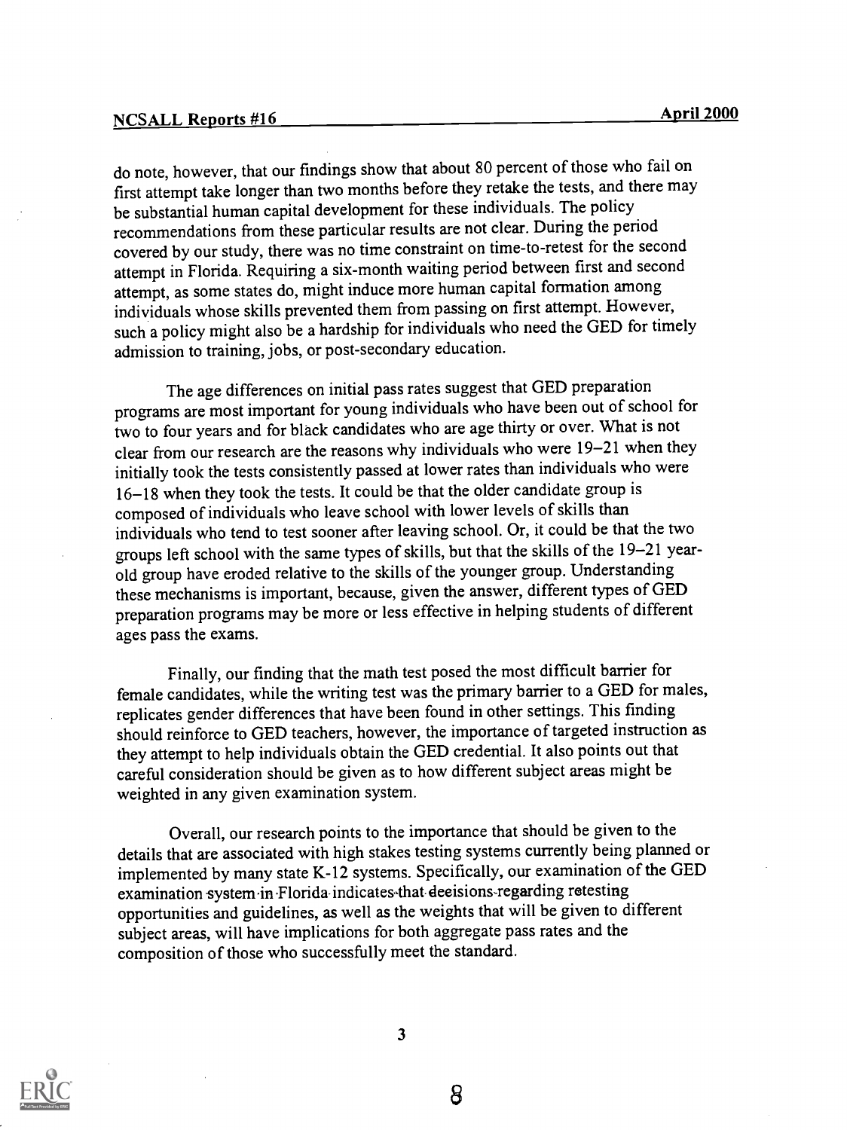do note, however, that our findings show that about 80 percent of those who fail on first attempt take longer than two months before they retake the tests, and there may be substantial human capital development for these individuals. The policy recommendations from these particular results are not clear. During the period covered by our study, there was no time constraint on time-to-retest for the second attempt in Florida. Requiring a six-month waiting period between first and second attempt, as some states do, might induce more human capital formation among individuals whose skills prevented them from passing on first attempt. However, such a policy might also be a hardship for individuals who need the GED for timely admission to training, jobs, or post-secondary education.

The age differences on initial pass rates suggest that GED preparation programs are most important for young individuals who have been out of school for two to four years and for black candidates who are age thirty or over. What is not clear from our research are the reasons why individuals who were 19-21 when they initially took the tests consistently passed at lower rates than individuals who were 16-18 when they took the tests. It could be that the older candidate group is composed of individuals who leave school with lower levels of skills than individuals who tend to test sooner after leaving school. Or, it could be that the two groups left school with the same types of skills, but that the skills of the 19-21 yearold group have eroded relative to the skills of the younger group. Understanding these mechanisms is important, because, given the answer, different types of GED preparation programs may be more or less effective in helping students of different ages pass the exams.

Finally, our finding that the math test posed the most difficult barrier for female candidates, while the writing test was the primary barrier to a GED for males, replicates gender differences that have been found in other settings. This finding should reinforce to GED teachers, however, the importance of targeted instruction as they attempt to help individuals obtain the GED credential. It also points out that careful consideration should be given as to how different subject areas might be weighted in any given examination system.

Overall, our research points to the importance that should be given to the details that are associated with high stakes testing systems currently being planned or implemented by many state K-12 systems. Specifically, our examination of the GED examination system in Florida-indicates that deeisions-regarding retesting opportunities and guidelines, as well as the weights that will be given to different subject areas, will have implications for both aggregate pass rates and the composition of those who successfully meet the standard.



3

8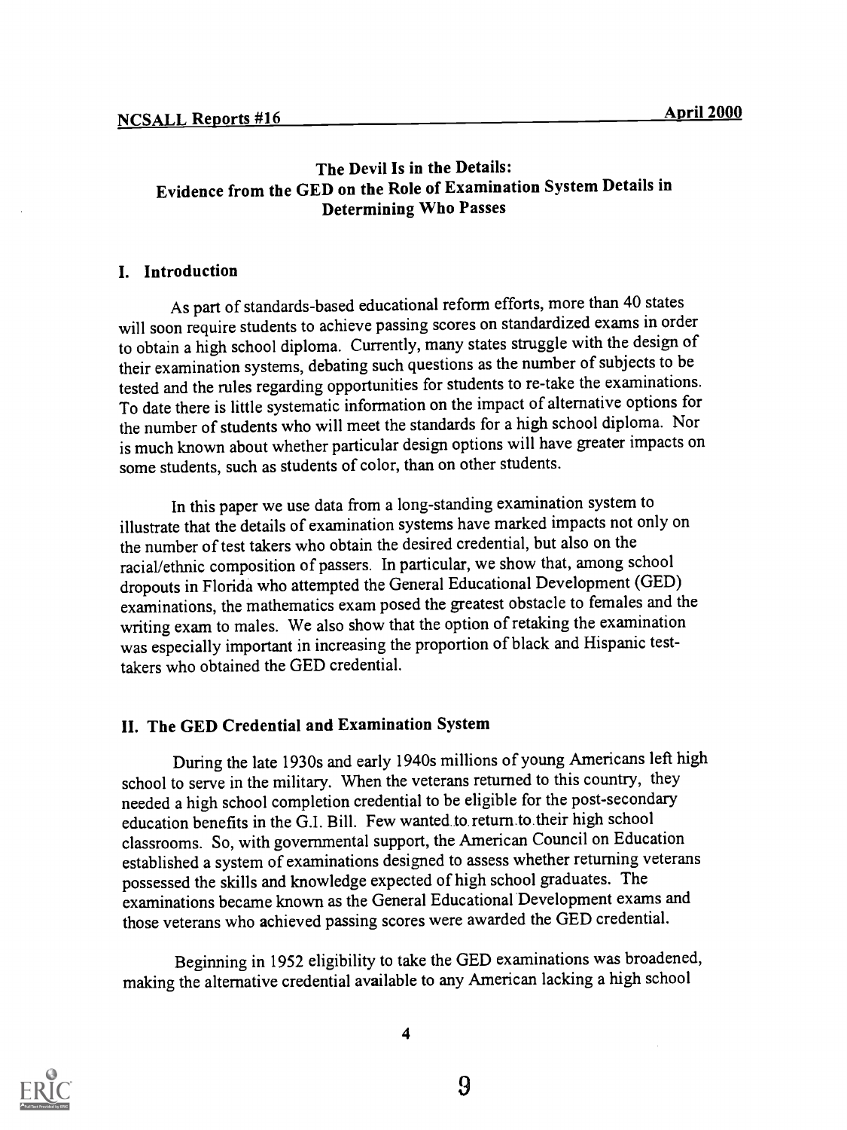## The Devil Is in the Details: Evidence from the GED on the Role of Examination System Details in Determining Who Passes

#### I. Introduction

As part of standards-based educational reform efforts, more than 40 states will soon require students to achieve passing scores on standardized exams in order to obtain a high school diploma. Currently, many states struggle with the design of their examination systems, debating such questions asthe number of subjects to be tested and the rules regarding opportunities for students to re-take the examinations. To date there is little systematic information on the impact of alternative options for the number of students who will meet the standards for a high school diploma. Nor is much known about whether particular design options will have greater impacts on some students, such as students of color, than on other students.

In this paper we use data from a long-standing examination system to illustrate that the details of examination systems have marked impacts not only on the number of test takers who obtain the desired credential, but also on the racial/ethnic composition of passers. In particular, we show that, among school dropouts in Florida who attempted the General Educational Development (GED) examinations, the mathematics exam posed the greatest obstacle to females and the writing exam to males. We also show that the option of retaking the examination was especially important in increasing the proportion of black and Hispanic testtakers who obtained the GED credential.

#### II. The GED Credential and Examination System

During the late 1930s and early 1940s millions of young Americans left high school to serve in the military. When the veterans returned to this country, they needed a high school completion credential to be eligible for the post-secondary education benefits in the G.I. Bill. Few wanted to return.to their high school classrooms. So, with governmental support, the American Council on Education established a system of examinations designed to assess whether returning veterans possessed the skills and knowledge expected of high school graduates. The examinations became known as the General Educational Development exams and those veterans who achieved passing scores were awarded the GED credential.

Beginning in 1952 eligibility to take the GED examinations was broadened, making the alternative credential available to any American lacking a high school



4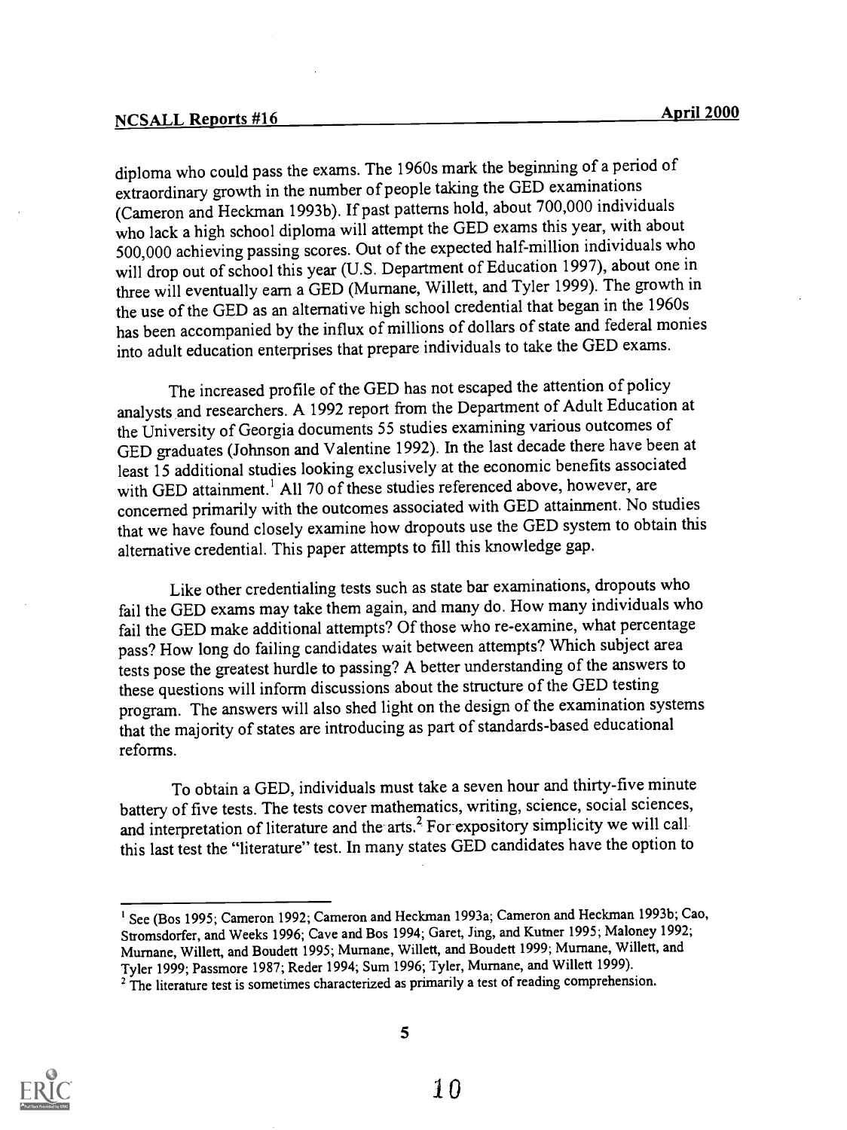diploma who could pass the exams. The 1960s mark the beginning of a period of extraordinary growth in the number of people taking the GED examinations (Cameron and Heckman 1993b). If past patterns hold, about 700,000 individuals who lack a high school diploma will attempt the GED exams this year, with about 500,000 achieving passing scores. Out of the expected half-million individuals who will drop out of school this year (U.S. Department of Education 1997), about one in three will eventually earn a GED (Murnane, Willett, and Tyler 1999). The growth in the use of the GED as an alternative high school credential that began in the 1960s has been accompanied by the influx of millions of dollars of state and federal monies into adult education enterprises that prepare individuals to take the GED exams.

The increased profile of the GED has not escaped the attention of policy analysts and researchers. A 1992 report from the Department of Adult Education at the University of Georgia documents 55 studies examining various outcomes of GED graduates (Johnson and Valentine 1992). In the last decade there have been at least 15 additional studies looking exclusively at the economic benefits associated with GED attainment.<sup>1</sup> All 70 of these studies referenced above, however, are concerned primarily with the outcomes associated with GED attainment. No studies that we have found closely examine how dropouts use the GED system to obtain this alternative credential. This paper attempts to fill this knowledge gap.

Like other credentialing tests such as state bar examinations, dropouts who fail the GED exams may take them again, and many do. How many individuals who fail the GED make additional attempts? Of those who re-examine, what percentage pass? How long do failing candidates wait between attempts? Which subject area tests pose the greatest hurdle to passing? A better understanding of the answers to these questions will inform discussions about the structure of the GED testing program. The answers will also shed light on the design of the examination systems that the majority of states are introducing as part of standards-based educational reforms.

To obtain a GED, individuals must take a seven hour and thirty-five minute battery of five tests. The tests cover mathematics, writing, science, social sciences, and interpretation of literature and the arts.<sup>2</sup> For expository simplicity we will call this last test the "literature" test. In many states GED candidates have the option to



<sup>&</sup>lt;sup>1</sup> See (Bos 1995; Cameron 1992; Cameron and Heckman 1993a; Cameron and Heckman 1993b; Cao, Stromsdorfer, and Weeks 1996; Cave and Bos 1994; Garet, Jing, and Kutner 1995; Maloney 1992; Murnane, Willett, and Boudett 1995; Murnane, Willett, and Boudett 1999; Murnane, Willett, and Tyler 1999; Passmore 1987; Reder 1994; Sum 1996; Tyler, Mumane, and Willett 1999).

<sup>&</sup>lt;sup>2</sup> The literature test is sometimes characterized as primarily a test of reading comprehension.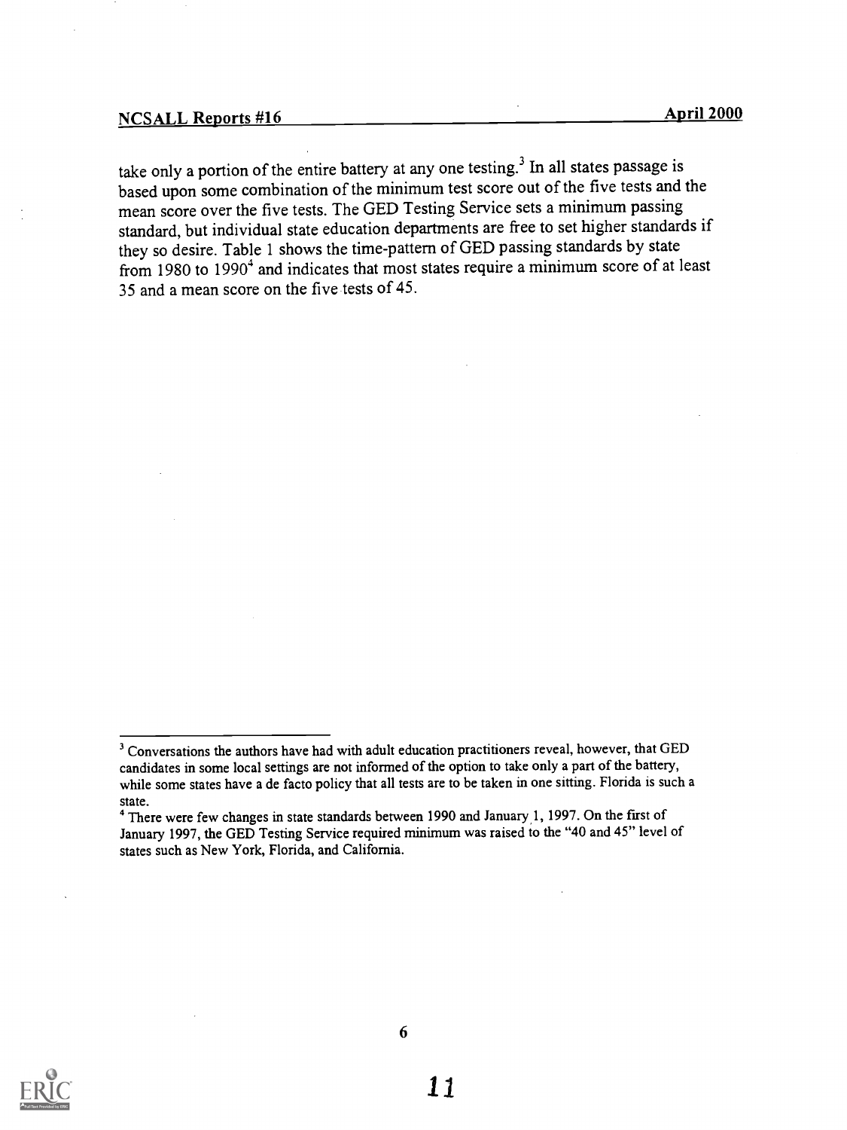take only a portion of the entire battery at any one testing.<sup>3</sup> In all states passage is based upon some combination of the minimum test score out of the five tests and the mean score over the five tests. The GED Testing Service sets a minimum passing standard, but individual state education departments are free to set higher standards if they so desire. Table 1 shows the time-pattern of GED passing standards by state from 1980 to  $1990<sup>4</sup>$  and indicates that most states require a minimum score of at least 35 and a mean score on the five tests of 45.



<sup>&</sup>lt;sup>3</sup> Conversations the authors have had with adult education practitioners reveal, however, that GED candidates in some local settings are not informed of the option to take only a part of the battery, while some states have a de facto policy that all tests are to be taken in one sitting. Florida is such a state.

<sup>&</sup>lt;sup>4</sup> There were few changes in state standards between 1990 and January 1, 1997. On the first of January 1997, the GED Testing Service required minimum was raised to the "40 and 45" level of states such as New York, Florida, and California.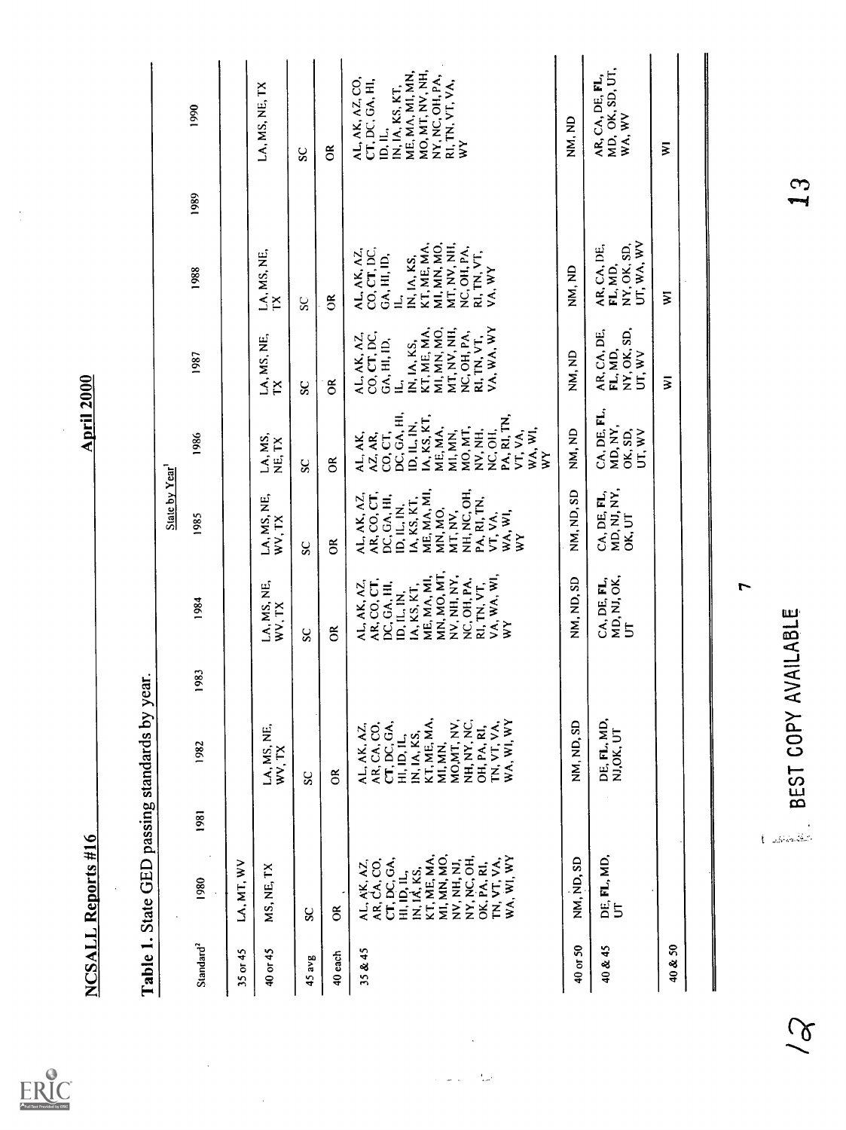$\frac{1}{2}$ 

| ייפטו ווא       |  |
|-----------------|--|
|                 |  |
| 5               |  |
|                 |  |
| 3               |  |
| こうき へいへいかい      |  |
|                 |  |
|                 |  |
|                 |  |
|                 |  |
|                 |  |
| See See See     |  |
|                 |  |
| $\frac{1}{2}$   |  |
|                 |  |
| תונה            |  |
| Ì               |  |
|                 |  |
| $\mathsf{rate}$ |  |
|                 |  |
| ċ               |  |
|                 |  |
|                 |  |
|                 |  |
|                 |  |
|                 |  |
| ∵<br>l          |  |

|                       | NCSALL Reports #16                        |                                |                                               |      |                                           |                                      |                                             | April 20 <u>00</u>                            |                                      |              |                                              |
|-----------------------|-------------------------------------------|--------------------------------|-----------------------------------------------|------|-------------------------------------------|--------------------------------------|---------------------------------------------|-----------------------------------------------|--------------------------------------|--------------|----------------------------------------------|
|                       |                                           |                                | Table 1. State GED passing standards by year. |      |                                           |                                      |                                             |                                               |                                      |              |                                              |
|                       |                                           |                                |                                               |      |                                           | State by Year                        |                                             |                                               |                                      |              |                                              |
| Standard <sup>2</sup> | 1980                                      | 1981                           | 1982                                          | 1983 | 1984                                      | 1985                                 | 1986                                        | 1987                                          | 1988                                 | 1989         | 1990                                         |
| $35$ or $45$          | LA, MT, WV                                |                                |                                               |      |                                           |                                      |                                             |                                               |                                      |              |                                              |
| 40 or 45              | MS, NE, TX                                |                                | LA, MS, NE, WW, TX                            |      | LA, MS, NE,<br>WV, TX                     | LA, MS, NE,<br>WV, TX                | LA, MS,<br>NE, TX                           | LA, MS, NE,<br>X                              | LA, MS, NE,<br>X                     |              | LA, MS, NE, TX                               |
| 45 avg                | $\mathbf{S}$                              |                                | S                                             |      | S                                         | SC                                   | SC                                          | SC                                            | ပ္တ                                  |              | SC                                           |
| 40 each               | g                                         |                                | ర                                             |      | ర                                         | క                                    | $\widetilde{\circ}$                         | õ                                             | $\Im$                                |              | õ                                            |
| 35 & 45               |                                           |                                | <b>AL, AK, AZ,</b>                            |      | AL, AK, AZ,                               | AL, AK, AZ,<br>AR, CO, CT,           | AL, AK,                                     | AL, AK, AZ,<br>CO, CT, DC,                    | <b>AL, AK, AZ,</b>                   |              | AL, AK, AZ, CO,                              |
|                       | AL, AK, AZ,<br>AR, CA, CO,                |                                | AR, CA, CO,<br>CT, DC, GA,                    |      | AR, CO, CT,<br>DC, GA, HI,                | DC, GA, HI,                          | AZ, AR,                                     | GA, HI, ID,                                   | CO, CT, DC,<br>GA, HI, ID,           |              | CT, DC, GA, HI,<br>ID, IL,                   |
|                       | CT, DC, GA,                               |                                | HI, ID, IL,                                   |      | ID, IL, IN,                               |                                      | CO, CT,<br>DC, GA, HI,                      | $\mathbf{\underline{\underline{\mathsf{d}}}}$ | $\equiv$                             |              | IN, IA, KS, KT,                              |
|                       | HI, ID, IL,<br>IN, IA, KS,<br>KT, ME, MA, |                                | IN, IA, KS,                                   |      | IA, KS, KT,                               | ID, IL, IN,<br>IA, KS, KT,           | ID, IL, IN,                                 | KT, ME, MA,<br>IN, IA, KS,                    | KT, ME, MA,<br>IN, IA, KS,           |              | MO, MT, NV, NH,<br>ME, MA, MI, MN,           |
|                       | <b>MI, MN, MO,</b>                        |                                | KT, ME, MA,<br><b>MI, MN,</b>                 |      | MN, MO, MT,<br>ME, MA, MI,                | ME, MA, MI,<br>MN, MO,               | IA, KS, KT,<br>ME, MA,                      | <b>MI, MN, MO,</b>                            | <b>MI, MN, MO,</b>                   |              | NY, NC, OH, PA,                              |
|                       | NV, NH, NJ,                               |                                | MOMT, NV,                                     |      | , NH, NY,<br>$\check{\check{\mathsf{z}}}$ | MT, NV,                              | <b>MI, MN,</b>                              | MT, NV, NH,                                   | MT, NV, NH,                          |              | RI, TN, VT, VA,                              |
|                       | NY, NC, OH,                               |                                | NH, NY, NC,                                   |      | NC, OH, PA,<br>RI, TN, VT,                | NH, NC, OH,<br>PA, RI, TN,           | MO, MT,<br>NV, NH,                          | NC, OH, PA,<br>RI, TN, VT,                    | NC, OH, PA,<br>RI, TN, VT,           |              | $\geq$                                       |
|                       | I'N, VT, VA,<br>OK, PA, RI,               |                                | TN, VT, VA,<br>OH, PA, RI,                    |      | VA, WA, WI,                               | VT, VA,                              | NC, OH,                                     | VA, WA, WY                                    | VA, WY                               |              |                                              |
|                       | WA, WI, WY                                |                                | WA, WI, WY                                    |      | $\geq$                                    | WA, WI,<br>$\geq$                    | PA, RI, TN,<br>WA, WI,<br>VT, VA,<br>$\geq$ |                                               |                                      |              |                                              |
| $40$ or 50            | NM, ND, SD                                |                                | NM, ND, SD                                    |      | NM, ND, SD                                | NM, ND, SD                           | NM, ND                                      | NM, ND                                        | NM, ND                               |              | NM, ND                                       |
|                       |                                           |                                |                                               |      |                                           |                                      | CA, DE, FL,                                 | AR, CA, DE,                                   | AR, CA, DE,                          |              |                                              |
| 40 & 45               | DE, FL, MD,<br>5                          |                                | DE, FL, MD,<br>NJ, OK, UT                     |      | MD, NJ, OK,<br>CA, DE, FL,<br>5           | MD, NJ, NY,<br>CA, DE, FL,<br>OK, UT | MD, NY,<br>OK, SD,<br>UT, WV                | NY, OK, SD,<br>FL, MD,<br>UT, WV              | UT, WA, WV<br>NY, OK, SD,<br>FL, MD, |              | AR, CA, DE, FL,<br>MD, OK, SD, UT,<br>WA, WV |
| 40 & 50               |                                           |                                |                                               |      |                                           |                                      |                                             | Σ                                             | ₹                                    |              | ₹                                            |
|                       |                                           |                                |                                               |      |                                           |                                      |                                             |                                               |                                      |              |                                              |
|                       |                                           |                                |                                               |      | $\overline{ }$                            |                                      |                                             |                                               |                                      |              |                                              |
|                       |                                           |                                |                                               |      |                                           |                                      |                                             |                                               |                                      |              |                                              |
|                       |                                           | $\hat{\mathbf{t}}$ -associated | BEST COPY AVAILABLE                           |      |                                           |                                      |                                             |                                               |                                      | $\mathbf{3}$ |                                              |
|                       |                                           |                                |                                               |      |                                           |                                      |                                             |                                               |                                      |              |                                              |
|                       |                                           |                                |                                               |      |                                           |                                      |                                             |                                               |                                      |              |                                              |

 $\frac{1}{2}$ 

 $\widetilde{\mathcal{C}}$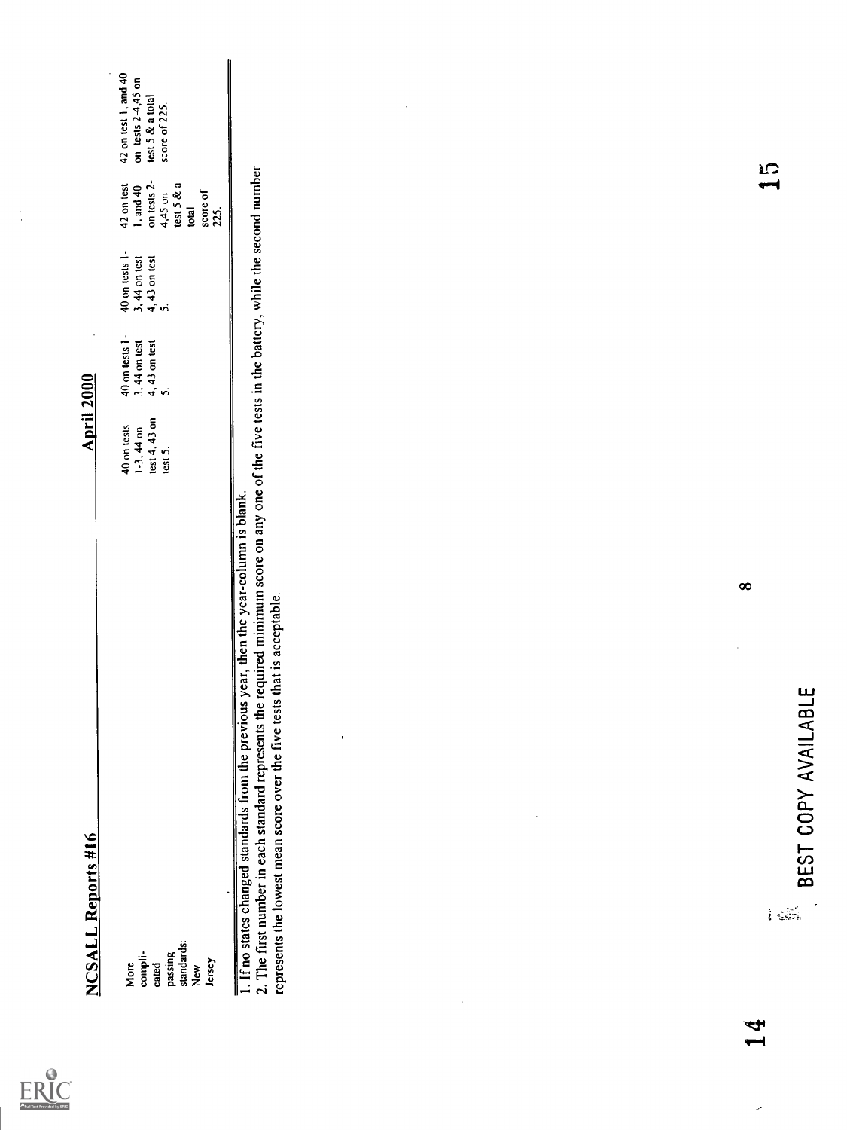| Full Text Provided by ERIC |
|----------------------------|

 $\ddot{\cdot}$ 

|                                                                    | <b>NCSALL Reports #16</b>                                                                                                                                                                                                                                                                                                  | $\cdot$<br><b>April 2000</b>                                                                                     |                                                          |                                                                                                        |                                                                                   |
|--------------------------------------------------------------------|----------------------------------------------------------------------------------------------------------------------------------------------------------------------------------------------------------------------------------------------------------------------------------------------------------------------------|------------------------------------------------------------------------------------------------------------------|----------------------------------------------------------|--------------------------------------------------------------------------------------------------------|-----------------------------------------------------------------------------------|
| standards:<br>passing<br>compli-<br>Jersey<br>cated<br>More<br>New |                                                                                                                                                                                                                                                                                                                            | 40 on tests 1-<br>3, 44 on test<br>4, 43 on test<br>5.<br>test 4, 43 on<br>40 on tests<br>$1-3, 44$ on<br>test 5 | 40 on tests 1-<br>$3, 44$ on test<br>4, 43 on test<br>5. | on tests 2-<br>42 on test<br>test $5 & a$<br>1, and 40<br>${\bf score}$ of<br>4,45 on<br>total<br>225. | 42 on test 1, and 40<br>on tests $2-4,45$ on<br>test 5 & a total<br>score of 225. |
|                                                                    | 1. If no states changed standards from the previous year, then the year-column is blank.<br>2. The first number in each standard represents the required minimum score on any one of the five tests in the battery, while the sec<br>represents the lowest mean score over the five tests that is acceptable.<br>$\bullet$ |                                                                                                                  |                                                          |                                                                                                        | $\cdot$                                                                           |
| $\ddot{\phantom{0}}$                                               | $\cdot$                                                                                                                                                                                                                                                                                                                    |                                                                                                                  |                                                          |                                                                                                        |                                                                                   |
|                                                                    |                                                                                                                                                                                                                                                                                                                            |                                                                                                                  |                                                          |                                                                                                        |                                                                                   |
| Ą                                                                  | $\infty$<br>BLE<br>BEST COPY AVAILA<br>$\hat{E}$ gives                                                                                                                                                                                                                                                                     |                                                                                                                  |                                                          | IS<br>1                                                                                                |                                                                                   |

Ļ,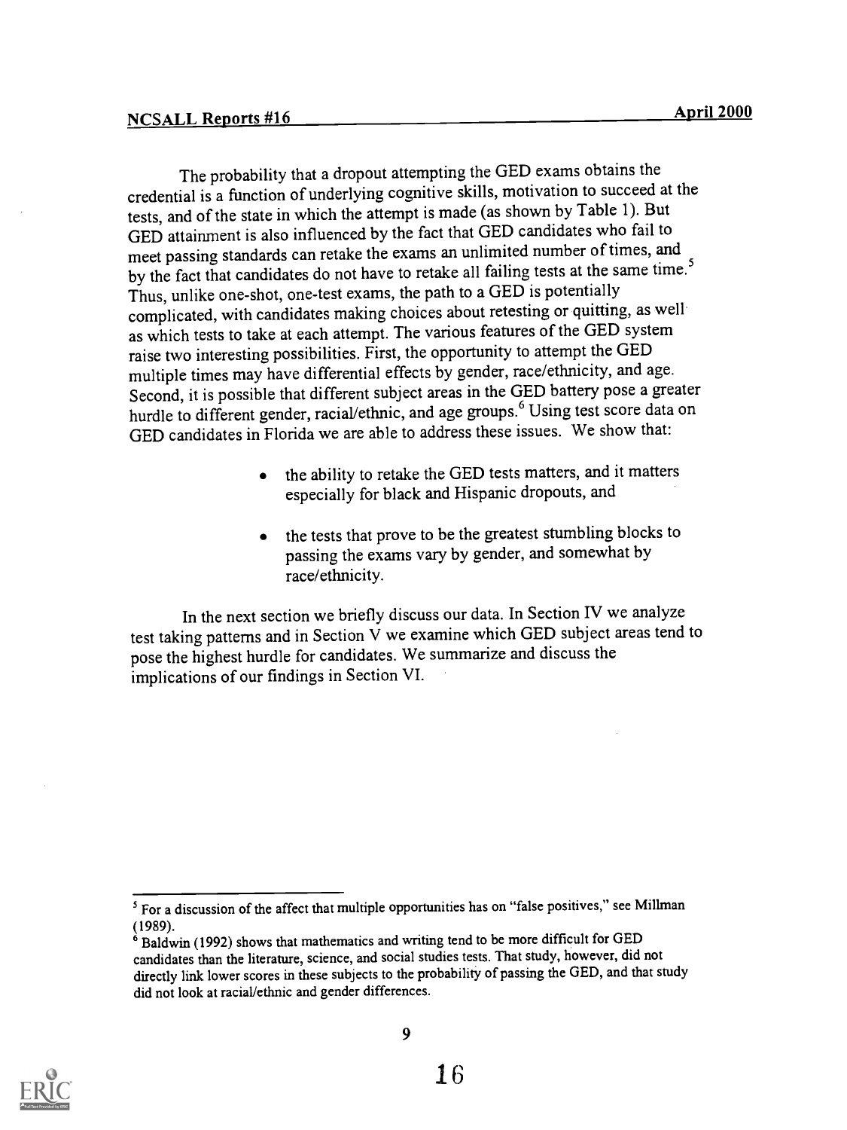The probability that a dropout attempting the GED exams obtains the credential is a function of underlying cognitive skills, motivation to succeed at the tests, and of the state in which the attempt is made (as shown by Table 1). But GED attainment is also influenced by the fact that GED candidates who fail to meet passing standards can retake the exams an unlimited number of times, and by the fact that candidates do not have to retake all failing tests at the same time.<sup>5</sup> Thus, unlike one-shot, one-test exams, the path to a GED is potentially complicated, with candidates making choices about retesting or quitting, as well as which tests to take at each attempt. The various features of the GED system raise two interesting possibilities. First, the opportunity to attempt the GED multiple times may have differential effects by gender, race/ethnicity, and age. Second, it is possible that different subject areas in the GED battery pose a greater hurdle to different gender, racial/ethnic, and age groups.<sup>6</sup> Using test score data on GED candidates in Florida we are able to address these issues. We show that:

- the ability to retake the GED tests matters, and it matters especially for black and Hispanic dropouts, and
- the tests that prove to be the greatest stumbling blocks to passing the exams vary by gender, and somewhat by race/ethnicity.

In the next section we briefly discuss our data. In Section IV we analyze test taking patterns and in Section V we examine which GED subject areas tend to pose the highest hurdle for candidates. We summarize and discuss the implications of our findings in Section VI.



<sup>&</sup>lt;sup>5</sup> For a discussion of the affect that multiple opportunities has on "false positives," see Millman (1989).

 $\delta$  Baldwin (1992) shows that mathematics and writing tend to be more difficult for GED candidates than the literature, science, and social studies tests. That study, however, did not directly link lower scores in these subjects to the probability of passing the GED, and that study did not look at racial/ethnic and gender differences.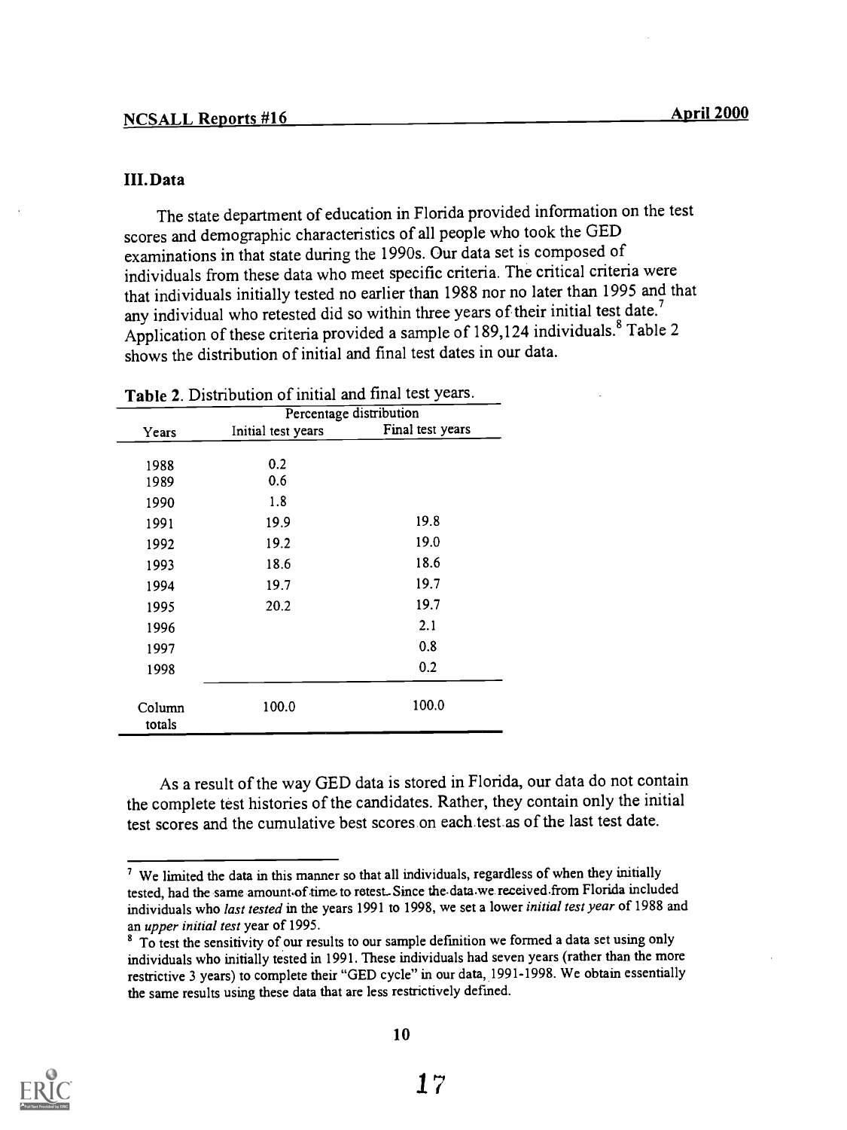#### III. Data

The state department of education in Florida provided information on the test scores and demographic characteristics of all people who took the GED examinations in that state during the 1990s. Our data set is composed of individuals from these data who meet specific criteria. The critical criteria were that individuals initially tested no earlier than 1988 nor no later than 1995 and that any individual who retested did so within three years of their initial test date.<sup>7</sup> Application of these criteria provided a sample of 189,124 individuals.<sup>8</sup> Table 2 shows the distribution of initial and final test dates in our data.

|                  |                    | Percentage distribution |
|------------------|--------------------|-------------------------|
| Years            | Initial test years | Final test years        |
|                  |                    |                         |
| 1988<br>1989     | 0.2<br>0.6         |                         |
| 1990             | 1.8                |                         |
| 1991             | 19.9               | 19.8                    |
| 1992             | 19.2               | 19.0                    |
| 1993             | 18.6               | 18.6                    |
| 1994             | 19.7               | 19.7                    |
| 1995             | 20.2               | 19.7                    |
| 1996             |                    | 2.1                     |
| 1997             |                    | 0.8                     |
| 1998             |                    | 0.2                     |
| Column<br>totals | 100.0              | 100.0                   |

Table 2. Distribution of initial and final test years.

As a result of the way GED data is stored in Florida, our data do not contain the complete test histories of the candidates. Rather, they contain only the initial test scores and the cumulative best scores on each test as of the last test date.



 $<sup>7</sup>$  We limited the data in this manner so that all individuals, regardless of when they initially</sup> tested, had the same amount-of time to retest.-Since the-data.we received.from Florida included individuals who last tested in the years 1991 to 1998, we set a lower initial test year of 1988 and an upper initial test year of 1995.

<sup>&</sup>lt;sup>8</sup> To test the sensitivity of our results to our sample definition we formed a data set using only individuals who initially tested in 1991. These individuals had seven years (rather than the more restrictive 3 years) to complete their "GED cycle" in our data, 1991-1998. We obtain essentially the same results using these data that are less restrictively defined.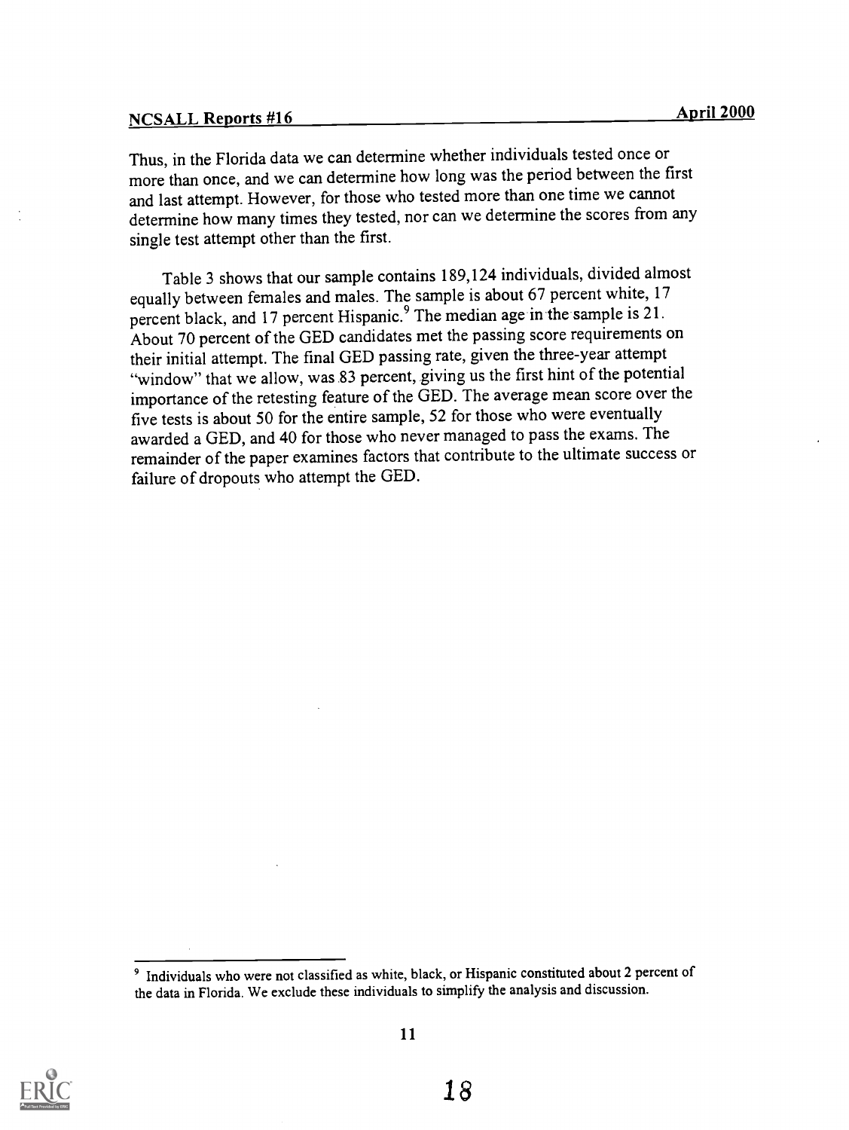Thus, in the Florida data we can determine whether individuals tested once or more than once, and we can determine how long was the period between the first and last attempt. However, for those who tested more than one time we cannot determine how many times they tested, nor can we determine the scores from any single test attempt other than the first.

Table 3 shows that our sample contains 189,124 individuals, divided almost equally between females and males. The sample is about 67 percent white, 17 percent black, and 17 percent Hispanic.<sup>9</sup> The median age in the sample is 21. About 70 percent of the GED candidates met the passing score requirements on their initial attempt. The final GED passing rate, given the three-year attempt "window" that we allow, was 83 percent, giving us the first hint of the potential importance of the retesting feature of the GED. The average mean score over the five tests is about 50 for the entire sample, 52 for those who were eventually awarded a GED, and 40 for those who never managed to pass the exams. The remainder of the paper examines factors that contribute to the ultimate success or failure of dropouts who attempt the GED.



<sup>&</sup>lt;sup>9</sup> Individuals who were not classified as white, black, or Hispanic constituted about 2 percent of the data in Florida. We exclude these individuals to simplify the analysis and discussion.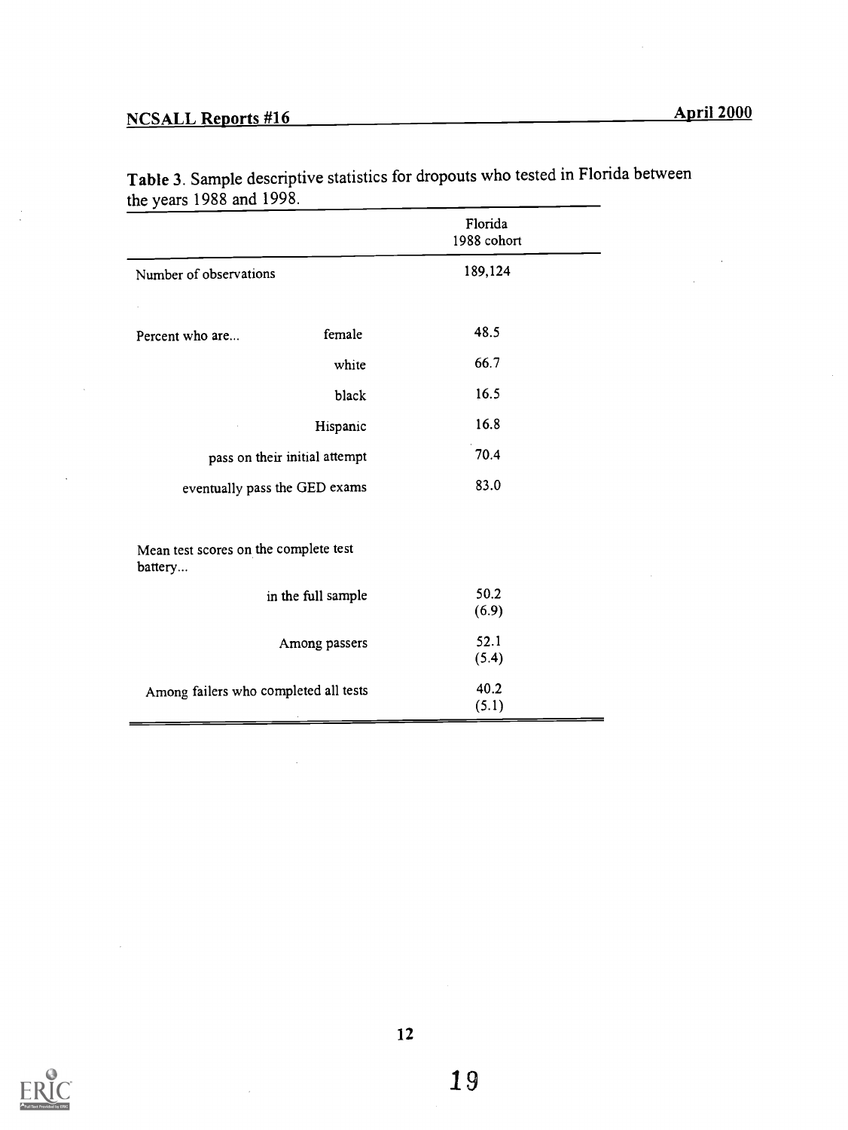ú,

|                                                  |                               | Florida<br>1988 cohort |  |
|--------------------------------------------------|-------------------------------|------------------------|--|
| Number of observations                           |                               | 189,124                |  |
|                                                  |                               |                        |  |
| Percent who are                                  | female                        | 48.5                   |  |
|                                                  | white                         | 66.7                   |  |
|                                                  | black                         | 16.5                   |  |
|                                                  | Hispanic                      | 16.8                   |  |
|                                                  | pass on their initial attempt | 70.4                   |  |
| eventually pass the GED exams                    |                               | 83.0                   |  |
|                                                  |                               |                        |  |
| Mean test scores on the complete test<br>battery |                               |                        |  |
|                                                  | in the full sample            | 50.2                   |  |
|                                                  |                               | (6.9)                  |  |
|                                                  | Among passers                 | 52.1                   |  |
|                                                  |                               | (5.4)                  |  |
| Among failers who completed all tests            |                               | 40.2                   |  |
|                                                  |                               | (5.1)                  |  |

Table 3. Sample descriptive statistics for dropouts who tested in Florida between the years 1988 and 1998.



Ċ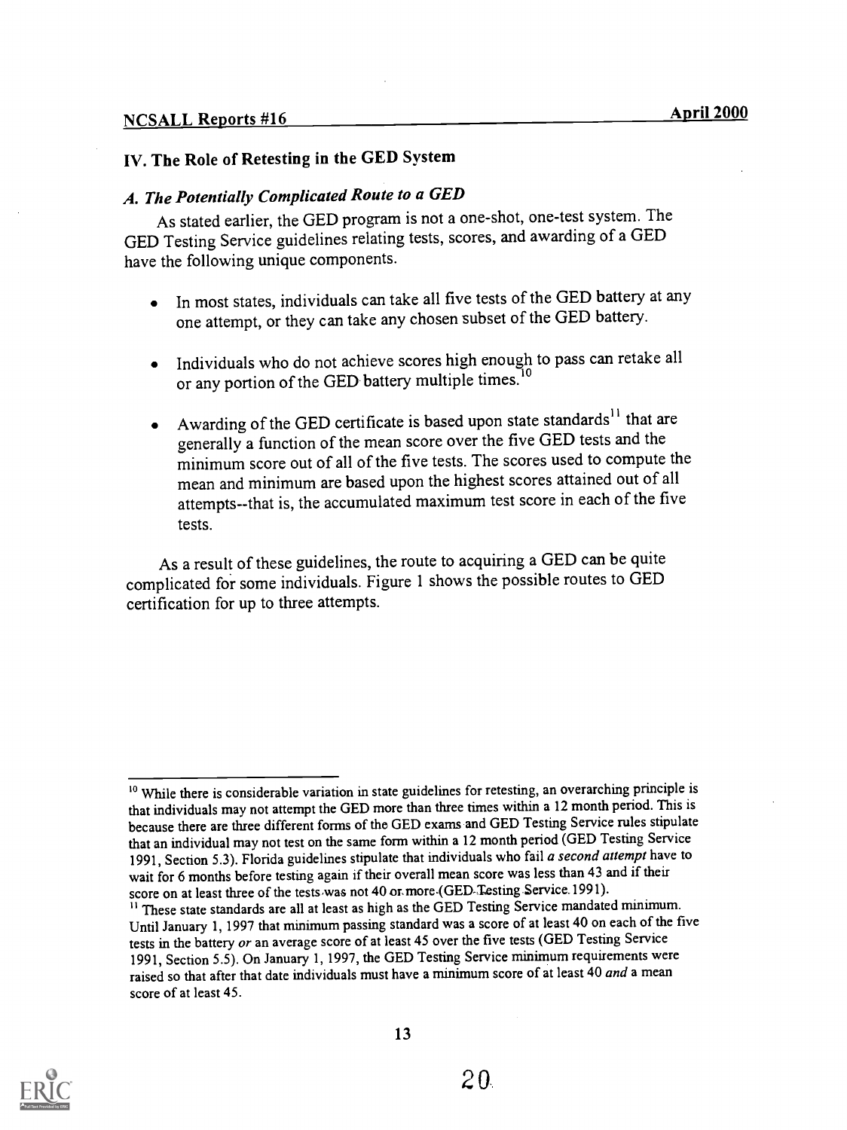#### NCSALL Reports #16

## IV. The Role of Retesting in the GED System

## A. The Potentially Complicated Route to a GED

As stated earlier, the GED program is not a one-shot, one-test system. The GED Testing Service guidelines relating tests, scores, and awarding of a GED have the following unique components.

- In most states, individuals can take all five tests of the GED battery at any  $\bullet$ one attempt, or they can take any chosen subset of the GED battery.
- Individuals who do not achieve scores high enough to pass can retake all  $\bullet$ or any portion of the GED battery multiple times.<sup>1</sup>
- Awarding of the GED certificate is based upon state standards<sup>11</sup> that are  $\bullet$ generally a function of the mean score over the five GED tests and the minimum score out of all of the five tests. The scores used to compute the mean and minimum are based upon the highest scores attained out of all attempts - -that is, the accumulated maximum test score in each of the five tests.

As a result of these guidelines, the route to acquiring a GED can be quite complicated for some individuals. Figure 1 shows the possible routes to GED certification for up to three attempts.



<sup>&</sup>lt;sup>10</sup> While there is considerable variation in state guidelines for retesting, an overarching principle is that individuals may not attempt the GED more than three times within a 12 month period. This is because there are three different forms of the GED exams and GED Testing Service rules stipulate that an individual may not test on the same form within a 12 month period (GED Testing Service 1991, Section 5.3). Florida guidelines stipulate that individuals who fail a second attempt have to wait for 6 months before testing again if their overall mean score was less than 43 and if their score on at least three of the tests was not 40 or more (GED Testing Service.1991).

<sup>&</sup>lt;sup>11</sup> These state standards are all at least as high as the GED Testing Service mandated minimum. Until January 1, 1997 that minimum passing standard was a score of at least 40 on each of the five tests in the battery or an average score of at least 45 over the five tests (GED Testing Service 1991, Section 5.5). On January 1, 1997, the GED Testing Service minimum requirements were raised so that after that date individuals must have a minimum score of at least 40 and a mean score of at least 45.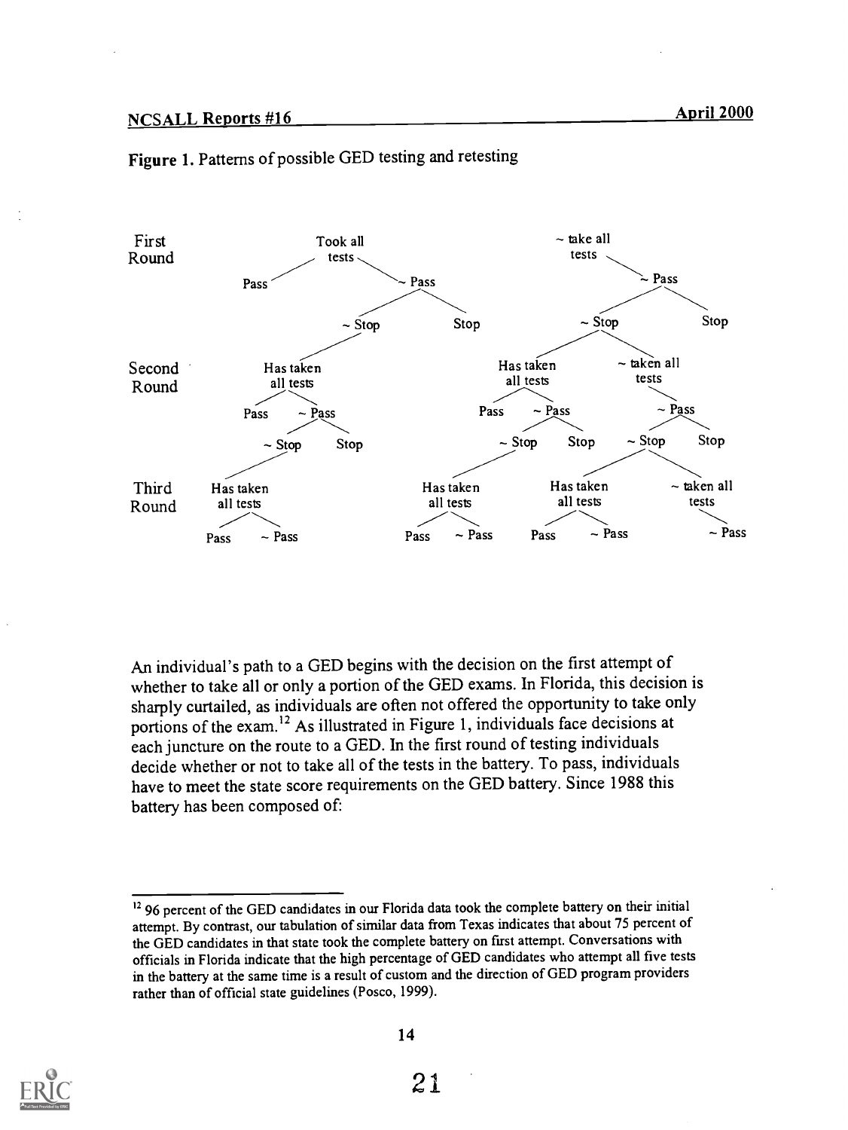



An individual's path to a GED begins with the decision on the first attempt of whether to take all or only a portion of the GED exams. In Florida, this decision is sharply curtailed, as individuals are often not offered the opportunity to take only portions of the exam.<sup>12</sup> As illustrated in Figure 1, individuals face decisions at each juncture on the route to a GED. In the first round of testing individuals decide whether or not to take all of the tests in the battery. To pass, individuals have to meet the state score requirements on the GED battery. Since 1988 this battery has been composed of:



<sup>&</sup>lt;sup>12</sup> 96 percent of the GED candidates in our Florida data took the complete battery on their initial attempt. By contrast, our tabulation of similar data from Texas indicates that about 75 percent of the GED candidates in that state took the complete battery on first attempt. Conversations with officials in Florida indicate that the high percentage of GED candidates who attempt all five tests in the battery at the same time is a result of custom and the direction of GED program providers rather than of official state guidelines (Posco, 1999).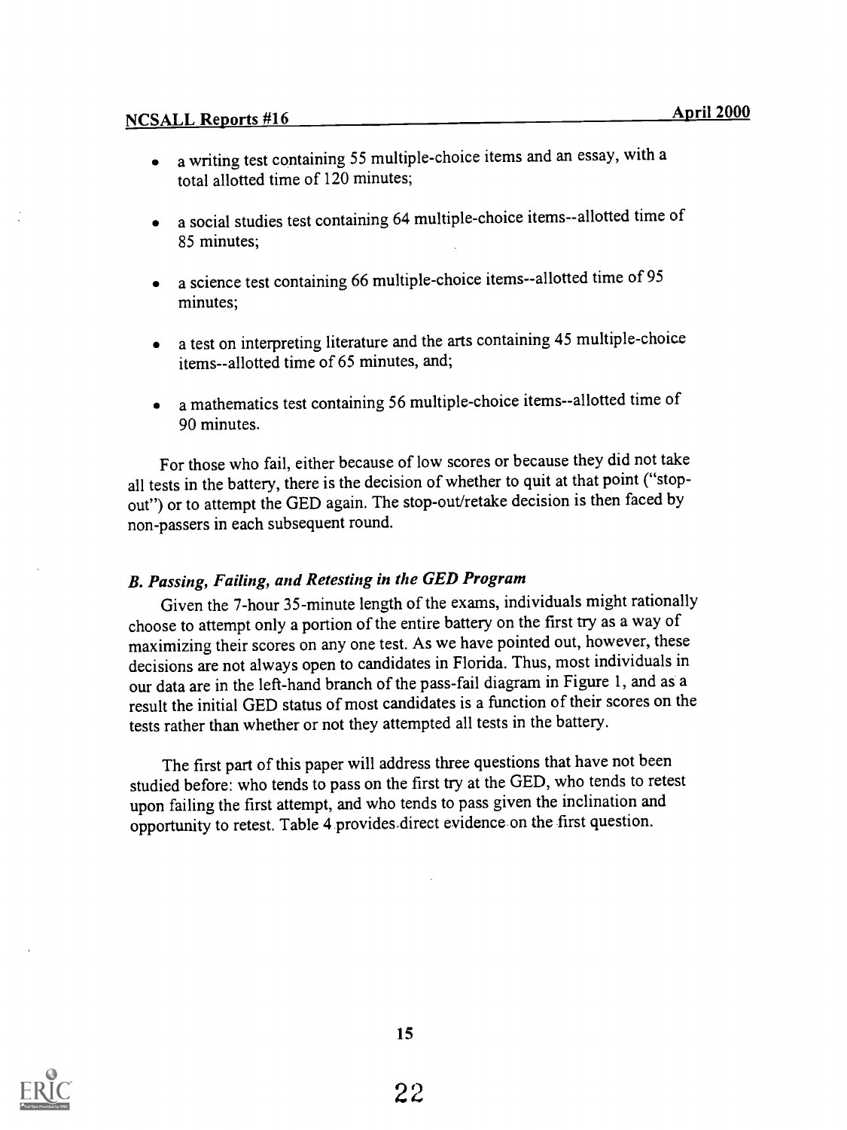- a writing test containing 55 multiple-choice items and an essay, with a  $\bullet$ total allotted time of 120 minutes;
- a social studies test containing 64 multiple-choice items--allotted time of  $\bullet$ 85 minutes;
- a science test containing 66 multiple-choice items--allotted time of 95  $\bullet$ minutes;
- a test on interpreting literature and the arts containing 45 multiple-choice  $\bullet$ items--allotted time of 65 minutes, and;
- a mathematics test containing 56 multiple-choice items--allotted time of  $\bullet$ 90 minutes.

For those who fail, either because of low scores or because they did not take all tests in the battery, there is the decision of whether to quit at that point ("stopout") or to attempt the GED again. The stop-out/retake decision is then faced by non-passers in each subsequent round.

## B. Passing, Failing, and Retesting in the GED Program

Given the 7-hour 35-minute length of the exams, individuals might rationally choose to attempt only a portion of the entire battery on the first try as a way of maximizing their scores on any one test. As we have pointed out, however, these decisions are not always open to candidates in Florida. Thus, most individuals in our data are in the left -hand branch of the pass-fail diagram in Figure 1, and as a result the initial GED status of most candidates is a function of their scores on the tests rather than whether or not they attempted all tests in the battery.

The first part of this paper will address three questions that have not been studied before: who tends to pass on the first try at the GED, who tends to retest upon failing the first attempt, and who tends to pass given the inclination and opportunity to retest. Table 4 provides-direct evidence on the first question.

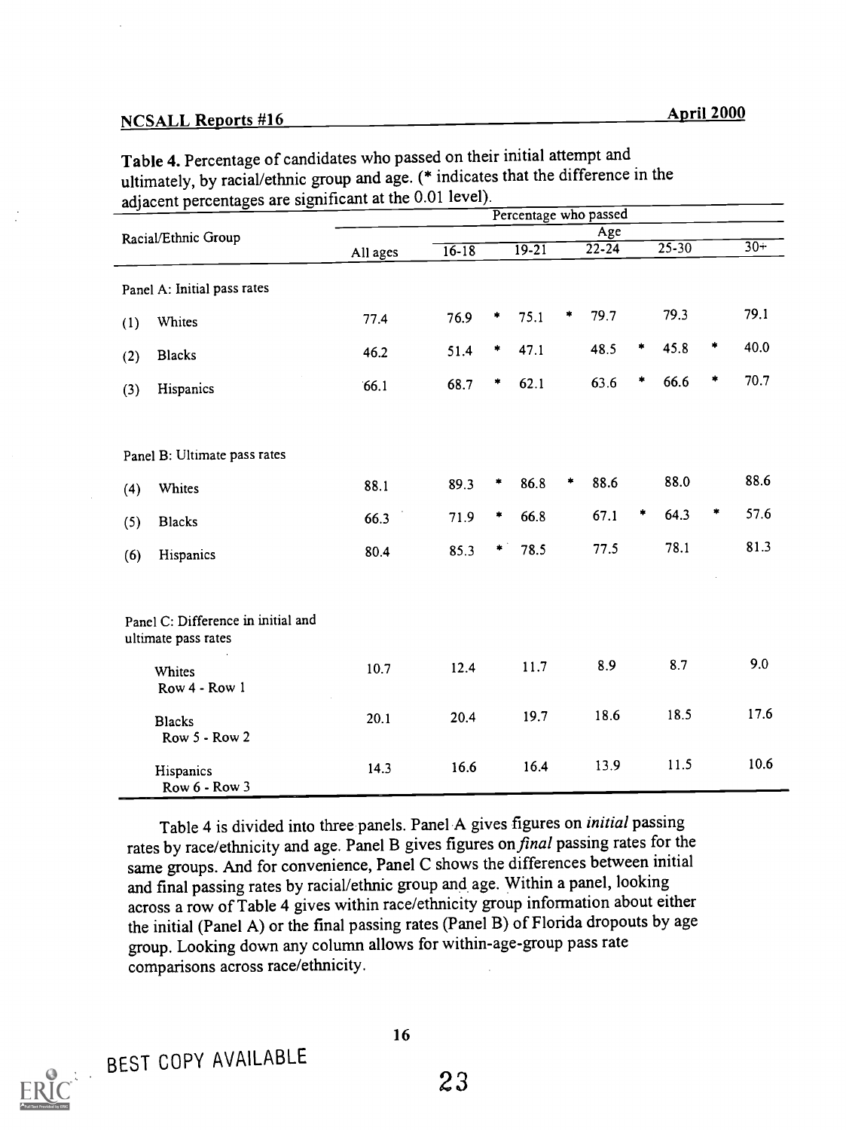# NCSALL Reports #16 April 2000

| adjacent percentages are significant at the 0.01 level). |                                                           |                       |           |   |         |   |                  |   |           |   |       |
|----------------------------------------------------------|-----------------------------------------------------------|-----------------------|-----------|---|---------|---|------------------|---|-----------|---|-------|
|                                                          |                                                           | Percentage who passed |           |   |         |   |                  |   |           |   |       |
|                                                          | Racial/Ethnic Group                                       | All ages              | $16 - 18$ |   | $19-21$ |   | Age<br>$22 - 24$ |   | $25 - 30$ |   | $30+$ |
|                                                          | Panel A: Initial pass rates                               |                       |           |   |         |   |                  |   |           |   |       |
| (1)                                                      | Whites                                                    | 77.4                  | 76.9      | * | 75.1    | ۰ | 79.7             |   | 79.3      |   | 79.1  |
| (2)                                                      | <b>Blacks</b>                                             | 46.2                  | 51.4      | ۰ | 47.1    |   | 48.5             | ٠ | 45.8      | * | 40.0  |
| (3)                                                      | Hispanics                                                 | 66.1                  | 68.7      | * | 62.1    |   | 63.6             | ۰ | 66.6      | * | 70.7  |
|                                                          | Panel B: Ultimate pass rates                              |                       |           |   |         |   |                  |   |           |   |       |
| (4)                                                      | Whites                                                    | 88.1                  | 89.3      | * | 86.8    | * | 88.6             |   | 88.0      |   | 88.6  |
| (5)                                                      | <b>Blacks</b>                                             | 66.3                  | 71.9      | ۰ | 66.8    |   | 67.1             | ۰ | 64.3      | ۰ | 57.6  |
| (6)                                                      | Hispanics                                                 | 80.4                  | 85.3      | * | 78.5    |   | 77.5             |   | 78.1      |   | 81.3  |
|                                                          | Panel C: Difference in initial and<br>ultimate pass rates |                       |           |   |         |   |                  |   |           |   |       |
|                                                          | Whites<br>Row 4 - Row 1                                   | 10.7                  | 12.4      |   | 11.7    |   | 8.9              |   | 8.7       |   | 9.0   |
|                                                          | <b>Blacks</b><br>Row 5 - Row 2                            | 20.1                  | 20.4      |   | 19.7    |   | 18.6             |   | 18.5      |   | 17.6  |
|                                                          | Hispanics<br>Row 6 - Row 3                                | 14.3                  | 16.6      |   | 16.4    |   | 13.9             |   | 11.5      |   | 10.6  |

Table 4. Percentage of candidates who passed on their initial attempt and ultimately, by racial/ethnic group and age. (\* indicates that the difference in the

Table 4 is divided into three panels. Panel A gives figures on initial passing rates by race/ethnicity and age. Panel B gives figures on final passing rates for the same groups. And for convenience, Panel C shows the differences between initial and final passing rates by racial/ethnic group and age. Within a panel, looking across a row of Table 4 gives within race/ethnicity group information about either the initial (Panel A) or the final passing rates (Panel B) of Florida dropouts by age group. Looking down any column allows for within-age-group pass rate comparisons across race/ethnicity.



BEST COPY AVAILABLE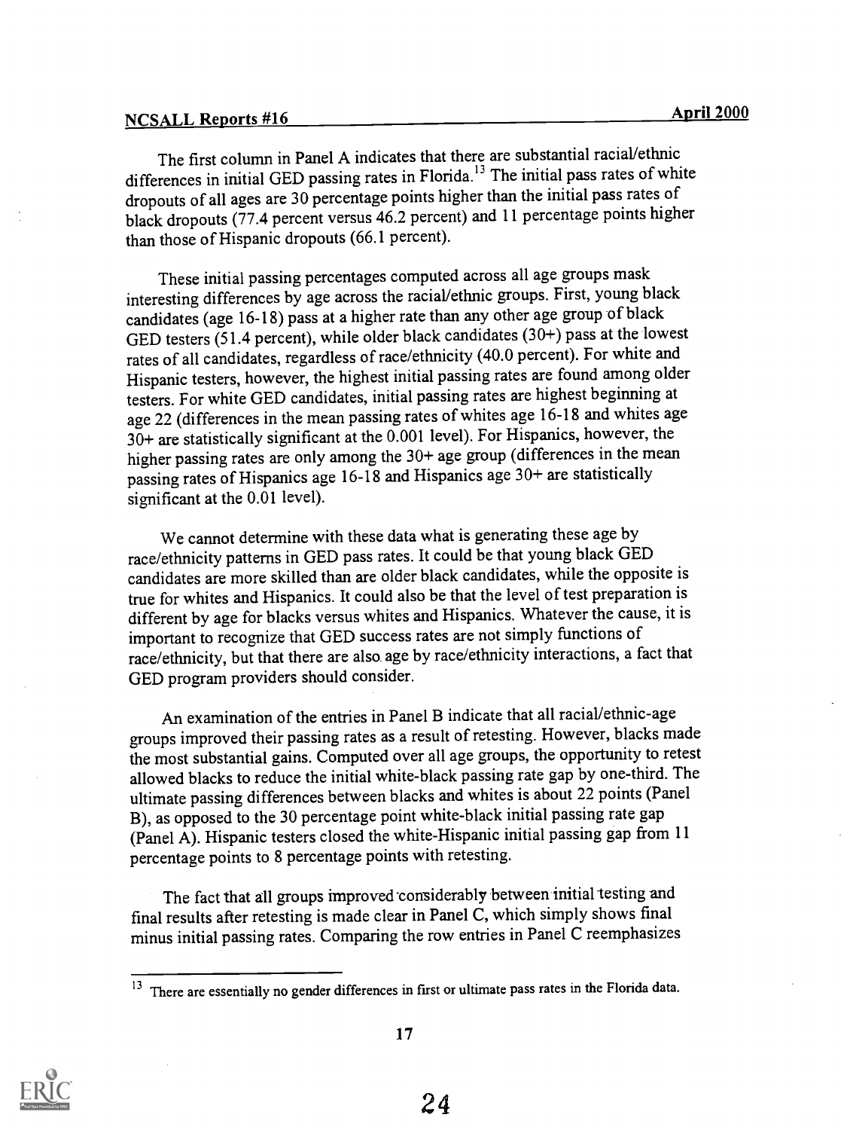# NCSALL Reports #16 April 2000

The first column in Panel A indicates that there are substantial racial/ethnic differences in initial GED passing rates in Florida.<sup>13</sup> The initial pass rates of white dropouts of all ages are 30 percentage points higher than the initial pass rates of black dropouts (77.4 percent versus 46.2 percent) and 11 percentage points higher than those of Hispanic dropouts (66.1 percent).

These initial passing percentages computed across all age groups mask interesting differences by age across the racial/ethnic groups. First, young black candidates (age 16-18) pass at a higher rate than any other age group of black GED testers (51.4 percent), while older black candidates (30+) pass at the lowest rates of all candidates, regardless of race/ethnicity (40.0 percent). For white and Hispanic testers, however, the highest initial passing rates are found among older testers. For white GED candidates, initial passing rates are highest beginning at age 22 (differences in the mean passing rates of whites age 16-18 and whites age 30+ are statistically significant at the 0.001 level). For Hispanics, however, the higher passing rates are only among the 30+ age group (differences in the mean passing rates of Hispanics age 16-18 and Hispanics age 30+ are statistically significant at the 0.01 level).

We cannot determine with these data what is generating these age by race/ethnicity patterns in GED pass rates. It could be that young black GED candidates are more skilled than are older black candidates, while the opposite is true for whites and Hispanics. It could also be that the level of test preparation is different by age for blacks versus whites and Hispanics. Whatever the cause, it is important to recognize that GED success rates are not simply functions of race/ethnicity, but that there are also age by race/ethnicity interactions, a fact that GED program providers should consider.

An examination of the entries in Panel B indicate that all racial/ethnic-age groups improved their passing rates as a result of retesting. However, blacks made the most substantial gains. Computed over all age groups, the opportunity to retest allowed blacks to reduce the initial white-black passing rate gap by one-third. The ultimate passing differences between blacks and whites is about 22 points (Panel B), as opposed to the 30 percentage point white-black initial passing rate gap (Panel A). Hispanic testers closed the white-Hispanic initial passing gap from 11 percentage points to 8 percentage points with retesting.

The fact that all groups improved considerably between initial testing and final results after retesting is made clear in Panel C, which simply shows final minus initial passing rates. Comparing the row entries in Panel C reemphasizes



There are essentially no gender differences in first or ultimate pass rates in the Florida data.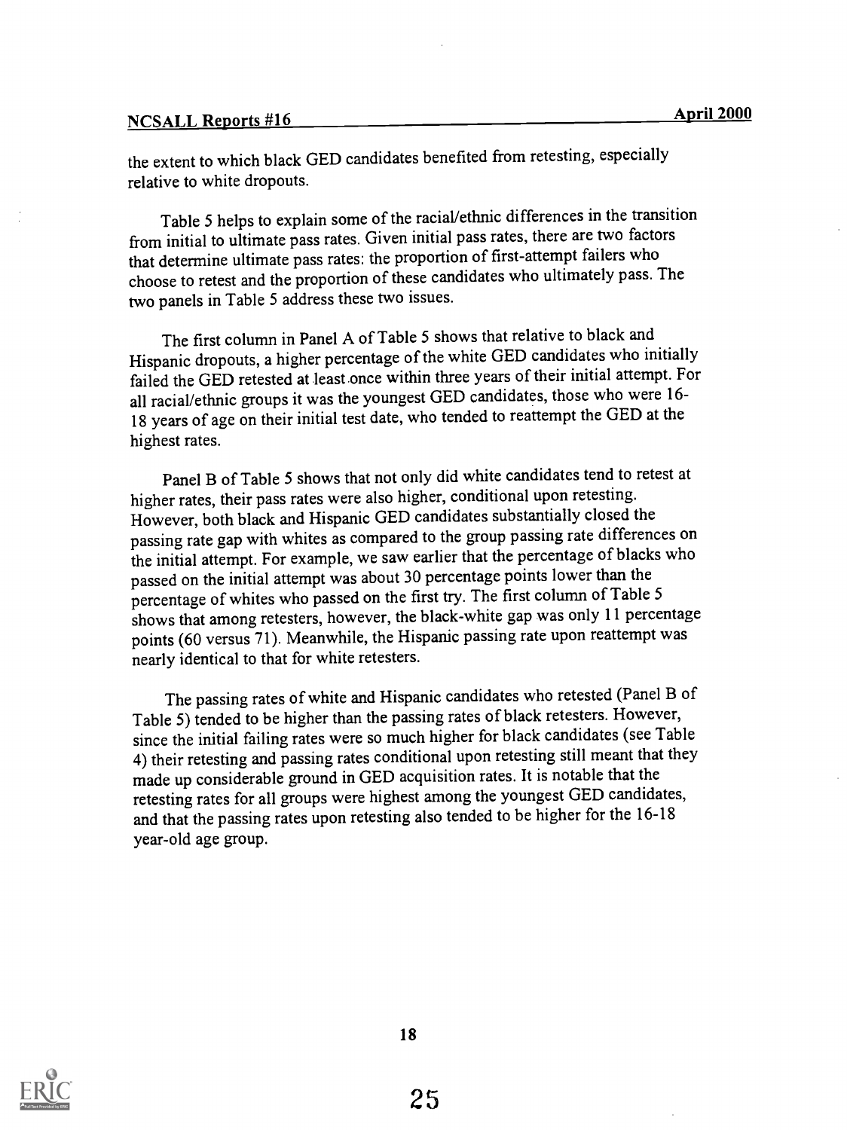# <u>NCSALL Reports #16 April 2000</u>

the extent to which black GED candidates benefited from retesting, especially relative to white dropouts.

Table 5 helps to explain some of the racial/ethnic differences in the transition from initial to ultimate pass rates. Given initial pass rates, there are two factors that determine ultimate pass rates: the proportion of first-attempt failers who choose to retest and the proportion of these candidates who ultimately pass. The two panels in Table 5 address these two issues.

The first column in Panel A of Table 5 shows that relative to black and Hispanic dropouts, a higher percentage of the white GED candidates who initially failed the GED retested at least once within three years of their initial attempt. For all racial/ethnic groups it was the youngest GED candidates, those who were 16- 18 years of age on their initial test date, who tended to reattempt the GED at the highest rates.

Panel B of Table 5 shows that not only did white candidates tend to retest at higher rates, their pass rates were also higher, conditional upon retesting. However, both black and Hispanic GED candidates substantially closed the passing rate gap with whites as compared to the group passing rate differences on the initial attempt. For example, we saw earlier that the percentage of blacks who passed on the initial attempt was about 30 percentage points lower than the percentage of whites who passed on the first try. The first column of Table 5 shows that among retesters, however, the black-white gap was only 11 percentage points (60 versus 71). Meanwhile, the Hispanic passing rate upon reattempt was nearly identical to that for white retesters.

The passing rates of white and Hispanic candidates who retested (Panel B of Table 5) tended to be higher than the passing rates of black retesters. However, since the initial failing rates were so much higher for black candidates (see Table 4) their retesting and passing rates conditional upon retesting still meant that they made up considerable ground in GED acquisition rates. It is notable that the retesting rates for all groups were highest among the youngest GED candidates, and that the passing rates upon retesting also tended to be higher for the 16-18 year-old age group.

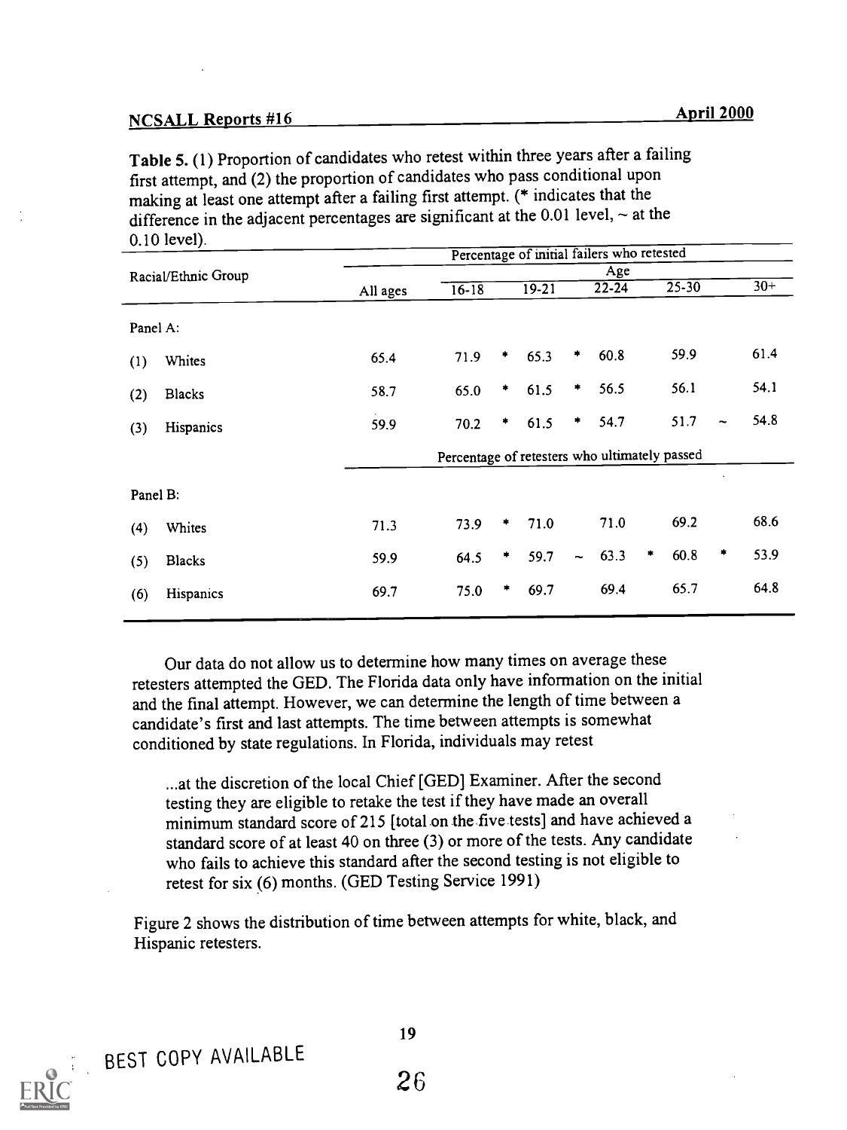# NCSALL Reports #16 April 2000

Table 5. (1) Proportion of candidates who retest within three years after a failing first attempt, and (2) the proportion of candidates who pass conditional upon making at least one attempt after a failing first attempt. (\* indicates that the difference in the adjacent percentages are significant at the  $0.01$  level,  $\sim$  at the 0.10 level).

|               |                                             |           |           |           |                          | Age  |           |      |                                                                                                          |       |
|---------------|---------------------------------------------|-----------|-----------|-----------|--------------------------|------|-----------|------|----------------------------------------------------------------------------------------------------------|-------|
|               | All ages                                    | $16 - 18$ |           | $19 - 21$ |                          |      |           |      |                                                                                                          | $30+$ |
|               |                                             |           |           |           |                          |      |           |      |                                                                                                          |       |
| Whites        | 65.4                                        | 71.9      | ٠         | 65.3      | *                        | 60.8 |           | 59.9 |                                                                                                          | 61.4  |
| <b>Blacks</b> | 58.7                                        | 65.0      | ٠         | 61.5      | *                        | 56.5 |           | 56.1 |                                                                                                          | 54.1  |
| Hispanics     | 59.9                                        | 70.2      | *         | 61.5      | ٠                        | 54.7 |           | 51.7 | $\tilde{}$                                                                                               | 54.8  |
|               |                                             |           |           |           |                          |      |           |      |                                                                                                          |       |
|               |                                             |           |           |           |                          |      |           |      |                                                                                                          |       |
| Whites        | 71.3                                        | 73.9      | *         | 71.0      |                          | 71.0 |           | 69.2 |                                                                                                          | 68.6  |
| <b>Blacks</b> | 59.9                                        | 64.5      | *         | 59.7      | $\overline{\phantom{a}}$ | 63.3 | *         | 60.8 | ۰                                                                                                        | 53.9  |
| Hispanics     | 69.7                                        | 75.0      | $\bullet$ | 69.7      |                          | 69.4 |           | 65.7 |                                                                                                          | 64.8  |
|               | Racial/Ethnic Group<br>Panel A:<br>Panel B: |           |           |           |                          |      | $22 - 24$ |      | Percentage of initial failers who retested<br>$25 - 30$<br>Percentage of retesters who ultimately passed |       |

Our data do not allow us to determine how many times on average these retesters attempted the GED. The Florida data only have information on the initial and the final attempt. However, we can determine the length of time between a candidate's first and last attempts. The time between attempts is somewhat conditioned by state regulations. In Florida, individuals may retest

...at the discretion of the local Chief [GED] Examiner. After the second testing they are eligible to retake the test if they have made an overall minimum standard score of 215 [total on the five tests] and have achieved a standard score of at least 40 on three (3) or more of the tests. Any candidate who fails to achieve this standard after the second testing is not eligible to retest for six (6) months. (GED Testing Service 1991)

Figure 2 shows the distribution of time between attempts for white, black, and Hispanic retesters.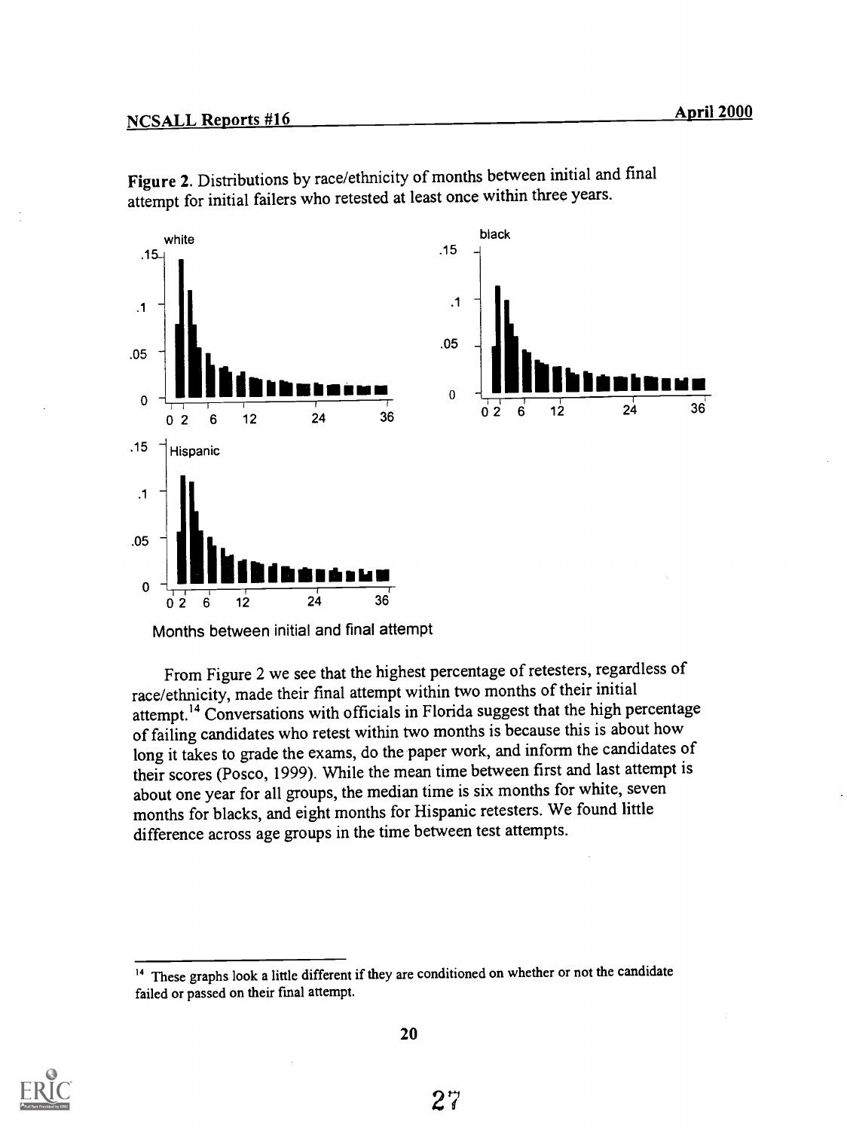

Figure 2. Distributions by race/ethnicity of months between initial and final attempt for initial failers who retested at least once within three years.

Months between initial and final attempt

From Figure 2 we see that the highest percentage of retesters, regardless of race/ethnicity, made their final attempt within two months of their initial attempt.14 Conversations with officials in Florida suggest that the high percentage of failing candidates who retest within two months is because this is about how long it takes to grade the exams, do the paper work, and inform the candidates of their scores (Posco, 1999). While the mean time between first and last attempt is about one year for all groups, the median time is six months for white, seven months for blacks, and eight months for Hispanic retesters. We found little difference across age groups in the time between test attempts.



<sup>&</sup>lt;sup>14</sup> These graphs look a little different if they are conditioned on whether or not the candidate failed or passed on their final attempt.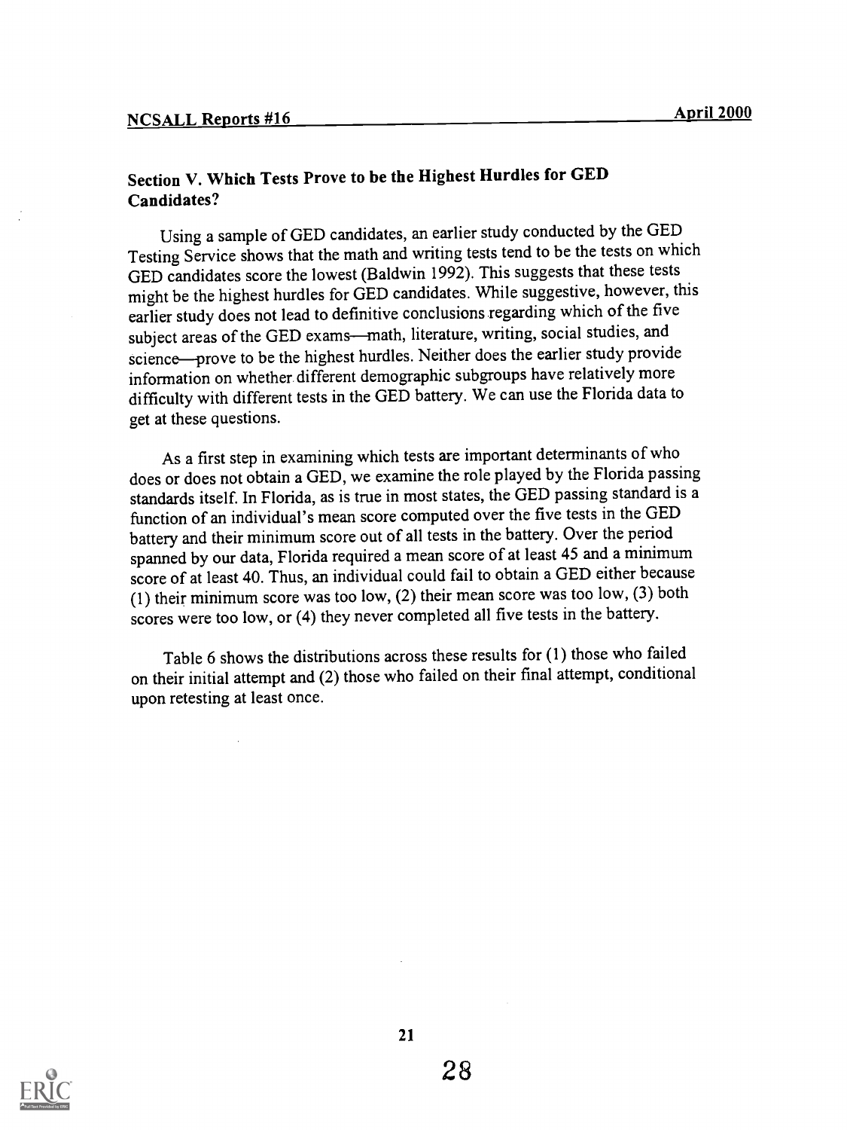## Section V. Which Tests Prove to be the Highest Hurdles for GED Candidates?

Using a sample of GED candidates, an earlier study conducted by the GED Testing Service shows that the math and writing tests tend to be the tests on which GED candidates score the lowest (Baldwin 1992). This suggests that these tests might be the highest hurdles for GED candidates. While suggestive, however, this earlier study does not lead to definitive conclusions regarding which of the five subject areas of the GED exams—math, literature, writing, social studies, and science—prove to be the highest hurdles. Neither does the earlier study provide information on whether different demographic subgroups have relatively more difficulty with different tests in the GED battery. We can use the Florida data to get at these questions.

As a first step in examining which tests are important determinants of who does or does not obtain a GED, we examine the role played by the Florida passing standards itself. In Florida, as is true in most states, the GED passing standard is a function of an individual's mean score computed over the five tests in the GED battery and their minimum score out of all tests in the battery. Over the period spanned by our data, Florida required a mean score of at least 45 and a minimum score of at least 40. Thus, an individual could fail to obtain a GED either because (1) their minimum score was too low, (2) their mean score was too low, (3) both scores were too low, or (4) they never completed all five tests in the battery.

Table 6 shows the distributions across these results for (1) those who failed on their initial attempt and (2) those who failed on their final attempt, conditional upon retesting at least once.

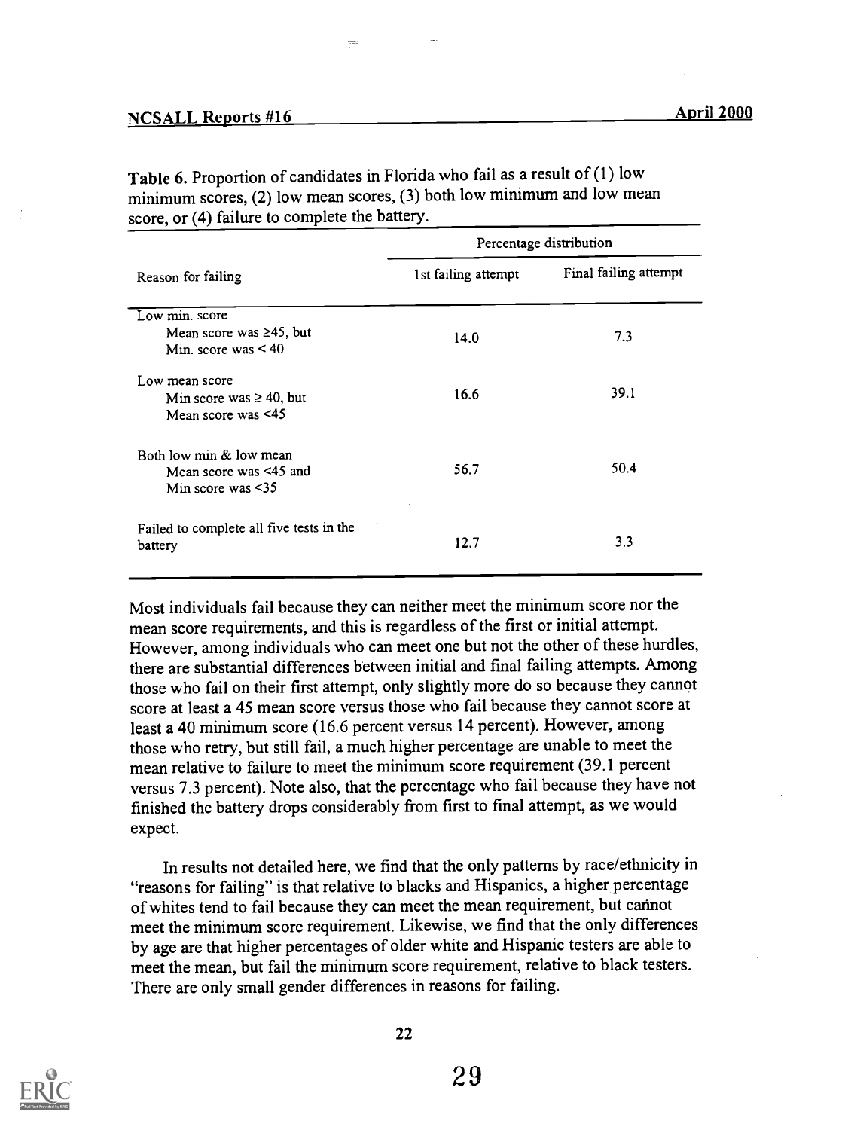| Percentage distribution |                       |  |  |  |  |
|-------------------------|-----------------------|--|--|--|--|
| 1st failing attempt     | Final failing attempt |  |  |  |  |
|                         |                       |  |  |  |  |
| 14.0                    | 7.3                   |  |  |  |  |
|                         | 39.1                  |  |  |  |  |
|                         |                       |  |  |  |  |
|                         |                       |  |  |  |  |
| 56.7                    | 50.4                  |  |  |  |  |
|                         | 3.3                   |  |  |  |  |
|                         | 16.6<br>12.7          |  |  |  |  |

Table 6. Proportion of candidates in Florida who fail as a result of (1) low minimum scores, (2) low mean scores, (3) both low minimum and low mean score, or (4) failure to complete the battery.

 $=$ 

Most individuals fail because they can neither meet the minimum score nor the mean score requirements, and this is regardless of the first or initial attempt. However, among individuals who can meet one but not the other of these hurdles, there are substantial differences between initial and final failing attempts. Among those who fail on their first attempt, only slightly more do so because they cannot score at least a 45 mean score versus those who fail because they cannot score at least a 40 minimum score (16.6 percent versus 14 percent). However, among those who retry, but still fail, a much higher percentage are unable to meet the mean relative to failure to meet the minimum score requirement (39.1 percent versus 7.3 percent). Note also, that the percentage who fail because they have not finished the battery drops considerably from first to final attempt, as we would expect.

In results not detailed here, we find that the only patterns by race/ethnicity in "reasons for failing" is that relative to blacks and Hispanics, a higher percentage of whites tend to fail because they can meet the mean requirement, but cannot meet the minimum score requirement. Likewise, we find that the only differences by age are that higher percentages of older white and Hispanic testers are able to meet the mean, but fail the minimum score requirement, relative to black testers. There are only small gender differences in reasons for failing.

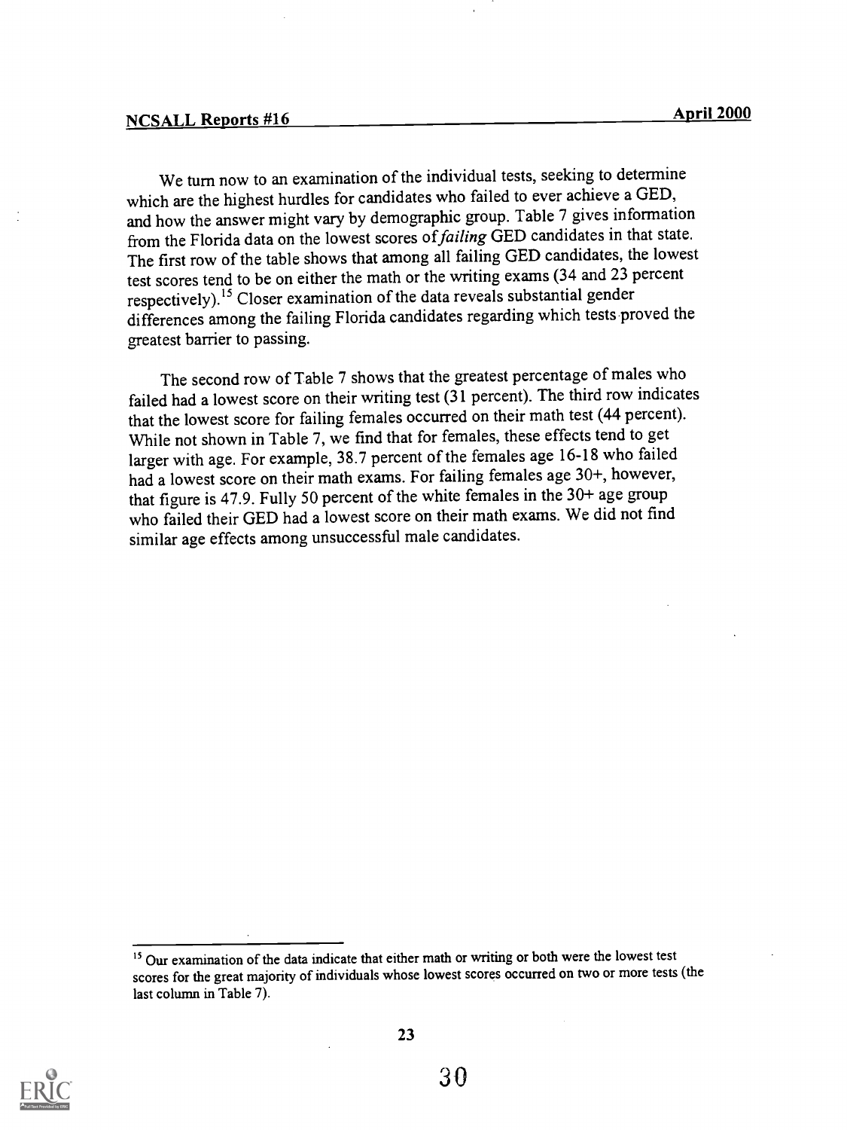We turn now to an examination of the individual tests, seeking to determine which are the highest hurdles for candidates who failed to ever achieve a GED, and how the answer might vary by demographic group. Table 7 gives information from the Florida data on the lowest scores of failing GED candidates in that state. The first row of the table shows that among all failing GED candidates, the lowest test scores tend to be on either the math or the writing exams (34 and 23 percent respectively).<sup>15</sup> Closer examination of the data reveals substantial gender differences among the failing Florida candidates regarding which tests proved the greatest barrier to passing.

The second row of Table 7 shows that the greatest percentage of males who failed had a lowest score on their writing test (31 percent). The third row indicates that the lowest score for failing females occurred on their math test (44 percent). While not shown in Table 7, we find that for females, these effects tend to get larger with age. For example, 38.7 percent of the females age 16-18 who failed had a lowest score on their math exams. For failing females age 30+, however, that figure is 47.9. Fully 50 percent of the white females in the 30+ age group who failed their GED had a lowest score on their math exams. We did not find similar age effects among unsuccessful male candidates.



<sup>&</sup>lt;sup>15</sup> Our examination of the data indicate that either math or writing or both were the lowest test scores for the great majority of individuals whose lowest scores occurred on two or more tests (the last column in Table 7).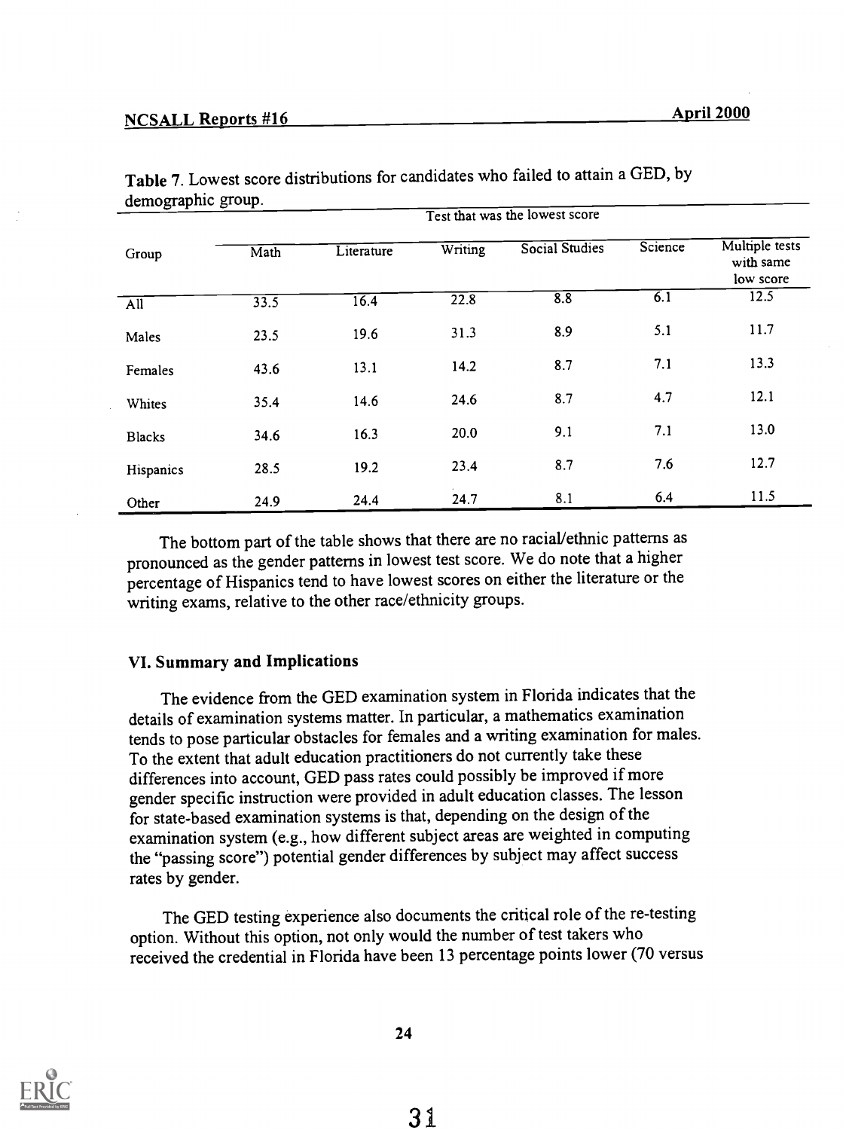|                  |      | Test that was the lowest score |                   |                |                  |                                          |  |  |
|------------------|------|--------------------------------|-------------------|----------------|------------------|------------------------------------------|--|--|
| Group            | Math | Literature                     | Writing           | Social Studies | Science          | Multiple tests<br>with same<br>low score |  |  |
| $\overline{All}$ | 33.5 | 16.4                           | $\overline{22.8}$ | 8.8            | $\overline{6.1}$ | 12.5                                     |  |  |
| Males            | 23.5 | 19.6                           | 31.3              | 8.9            | 5.1              | 11.7                                     |  |  |
| Females          | 43.6 | 13.1                           | 14.2              | 8.7            | 7.1              | 13.3                                     |  |  |
| Whites           | 35.4 | 14.6                           | 24.6              | 8.7            | 4.7              | 12.1                                     |  |  |
| <b>Blacks</b>    | 34.6 | 16.3                           | 20.0              | 9.1            | 7.1              | 13.0                                     |  |  |
| Hispanics        | 28.5 | 19.2                           | 23.4              | 8.7            | 7.6              | 12.7                                     |  |  |
| Other            | 24.9 | 24.4                           | 24.7              | 8.1            | 6.4              | 11.5                                     |  |  |

Table 7. Lowest score distributions for candidates who failed to attain a GED, by demographic group.

The bottom part of the table shows that there are no racial/ethnic patterns as pronounced as the gender patterns in lowest test score. We do note that a higher percentage of Hispanics tend to have lowest scores on either the literature or the writing exams, relative to the other race/ethnicity groups.

#### VI. Summary and Implications

The evidence from the GED examination system in Florida indicates that the details of examination systems matter. In particular, a mathematics examination tends to pose particular obstacles for females and a writing examination for males. To the extent that adult education practitioners do not currently take these differences into account, GED pass rates could possibly be improved if more gender specific instruction were provided in adult education classes. The lesson for state-based examination systems is that, depending on the design of the examination system (e.g., how different subject areas are weighted in computing the "passing score") potential gender differences by subject may affect success rates by gender.

The GED testing experience also documents the critical role of the re-testing option. Without this option, not only would the number of test takers who received the credential in Florida have been 13 percentage points lower (70 versus

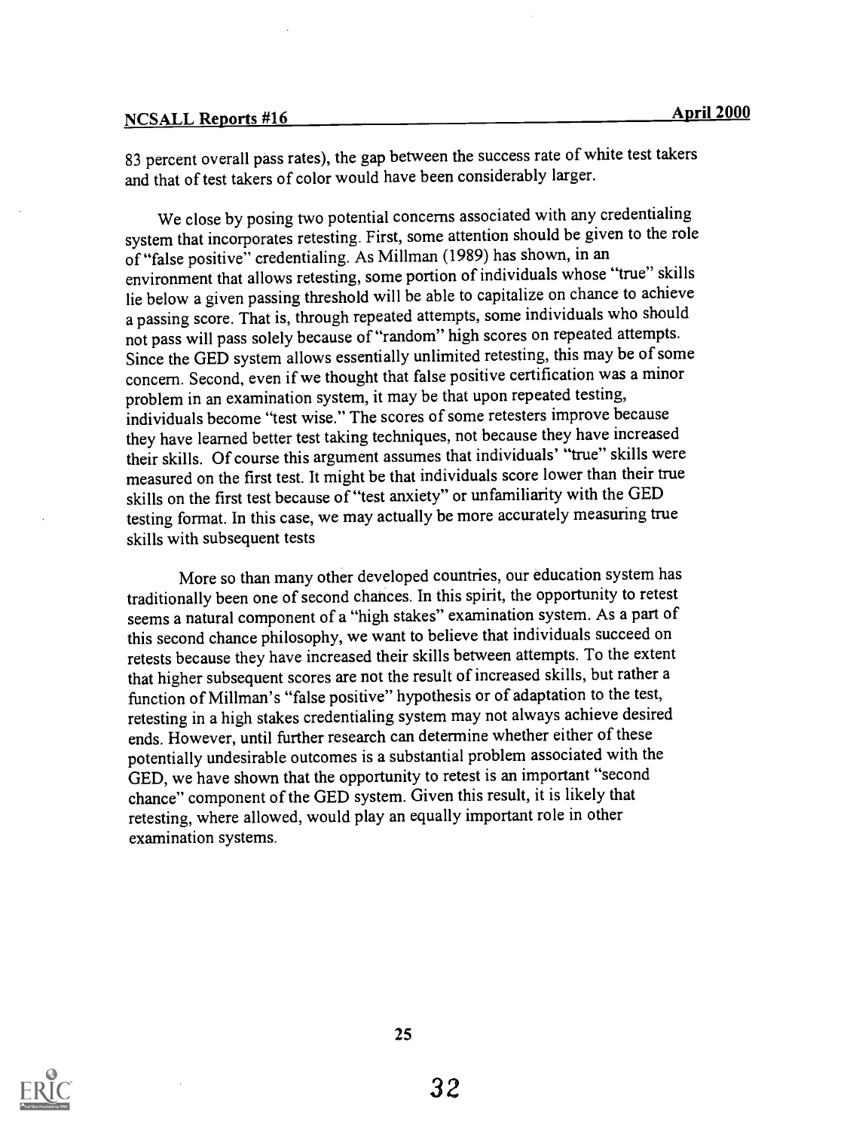# NCSALL Reports #16 April 2000

83 percent overall pass rates), the gap between the success rate of white test takers and that of test takers of color would have been considerably larger.

We close by posing two potential concerns associated with any credentialing system that incorporates retesting. First, some attention should be given to the role of "false positive" credentialing. As Millman (1989) has shown, in an environment that allows retesting, some portion of individuals whose "true" skills lie below a given passing threshold will be able to capitalize on chance to achieve a passing score. That is, through repeated attempts, some individuals who should not pass will pass solely because of "random" high scores on repeated attempts. Since the GED system allows essentially unlimited retesting, this may be of some concern. Second, even if we thought that false positive certification was a minor problem in an examination system, it may be that upon repeated testing, individuals become "test wise." The scores of some retesters improve because they have learned better test taking techniques, not because they have increased their skills. Of course this argument assumes that individuals' "true" skills were measured on the first test. It might be that individuals score lower than their true skills on the first test because of "test anxiety" or unfamiliarity with the GED testing format. In this case, we may actually be more accurately measuring true skills with subsequent tests

More so than many other developed countries, our education system has traditionally been one of second chances. In this spirit, the opportunity to retest seems a natural component of a "high stakes" examination system. As a part of this second chance philosophy, we want to believe that individuals succeed on retests because they have increased their skills between attempts. To the extent that higher subsequent scores are not the result of increased skills, but rather a function of Millman's "false positive" hypothesis or of adaptation to the test, retesting in a high stakes credentialing system may not always achieve desired ends. However, until further research can determine whether either of these potentially undesirable outcomes is a substantial problem associated with the GED, we have shown that the opportunity to retest is an important "second chance" component of the GED system. Given this result, it is likely that retesting, where allowed, would play an equally important role in other examination systems.

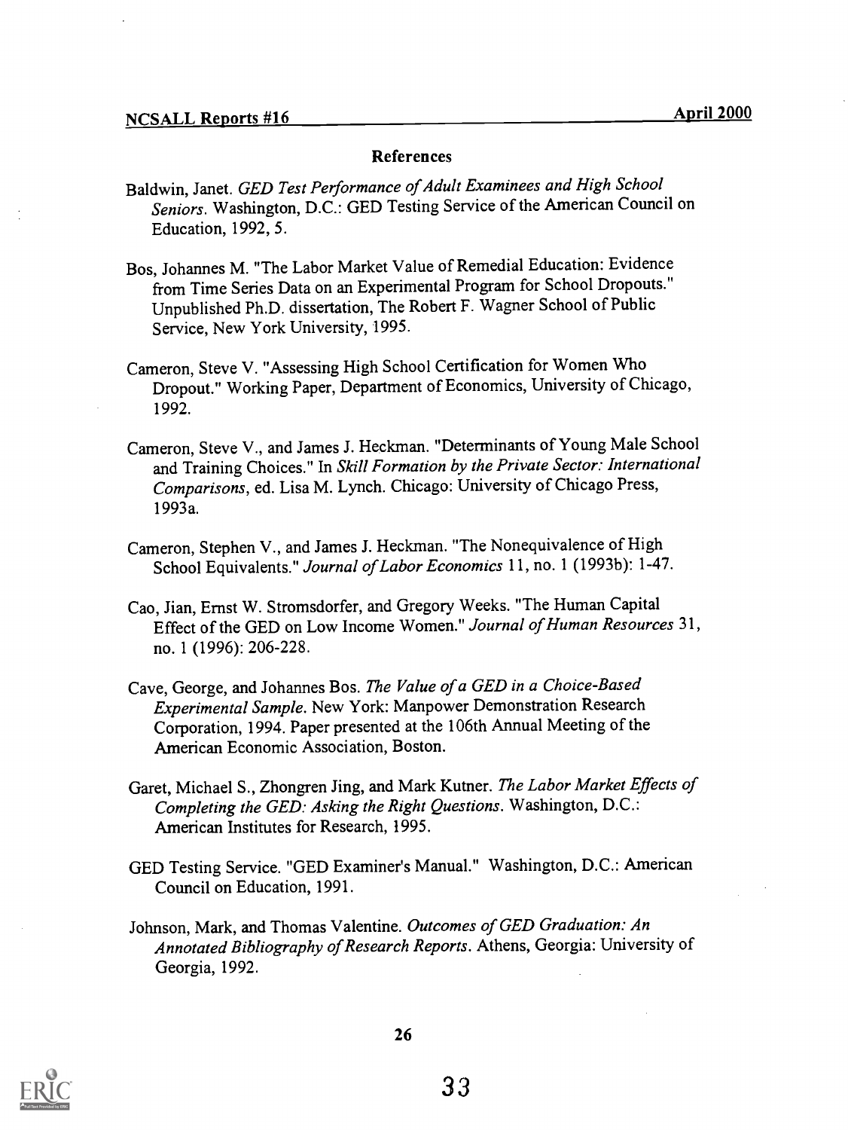#### References

- Baldwin, Janet. GED Test Performance of Adult Examinees and High School Seniors. Washington, D.C.: GED Testing Service of the American Council on Education, 1992, 5.
- Bos, Johannes M. "The Labor Market Value of Remedial Education: Evidence from Time Series Data on an Experimental Program for School Dropouts." Unpublished Ph.D. dissertation, The Robert F. Wagner School of Public Service, New York University, 1995.
- Cameron, Steve V. "Assessing High School Certification for Women Who Dropout." Working Paper, Department of Economics, University of Chicago, 1992.
- Cameron, Steve V., and James J. Heckman. "Determinants of Young Male School and Training Choices." In Skill Formation by the Private Sector: International Comparisons, ed. Lisa M. Lynch. Chicago: University of Chicago Press, 1993a.
- Cameron, Stephen V., and James J. Heckman. "The Nonequivalence of High School Equivalents." Journal of Labor Economics 11, no. 1 (1993b): 1-47.
- Cao, Jian, Ernst W. Stromsdorfer, and Gregory Weeks. "The Human Capital Effect of the GED on Low Income Women." Journal of Human Resources 31, no. 1 (1996): 206-228.
- Cave, George, and Johannes Bos. The Value of a GED in a Choice-Based Experimental Sample. New York: Manpower Demonstration Research Corporation, 1994. Paper presented at the 106th Annual Meeting of the American Economic Association, Boston.
- Garet, Michael S., Zhongren Jing, and Mark Kutner. The Labor Market Effects of Completing the GED: Asking the Right Questions. Washington, D.C.: American Institutes for Research, 1995.
- GED Testing Service. "GED Examiner's Manual." Washington, D.C.: American Council on Education, 1991.
- Johnson, Mark, and Thomas Valentine. Outcomes of GED Graduation: An Annotated Bibliography of Research Reports. Athens, Georgia: University of Georgia, 1992.

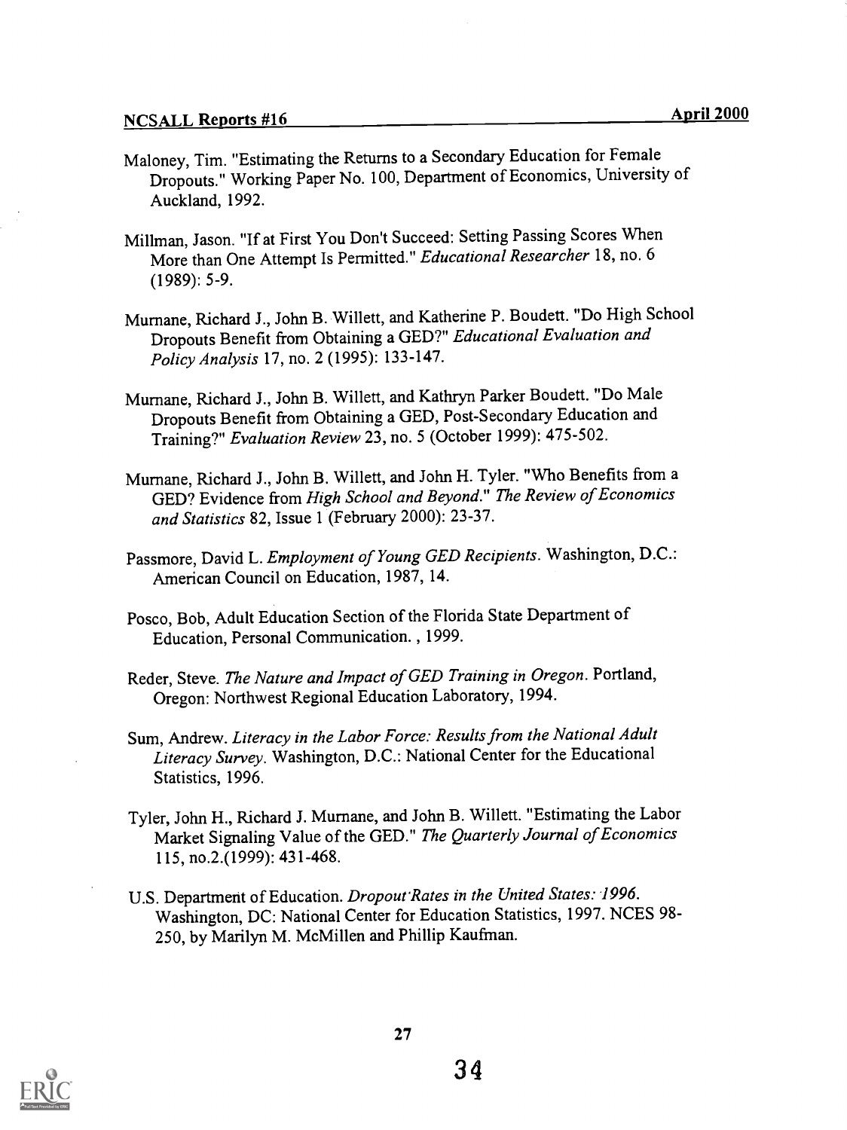- Maloney, Tim. "Estimating the Returns to a Secondary Education for Female Dropouts." Working Paper No. 100, Department of Economics, University of Auckland, 1992.
- Millman, Jason. "If at First You Don't Succeed: Setting Passing Scores When More than One Attempt Is Permitted." Educational Researcher 18, no. 6 (1989): 5-9.
- Murnane, Richard J., John B. Willett, and Katherine P. Boudett. "Do High School Dropouts Benefit from Obtaining a GED?" Educational Evaluation and Policy Analysis 17, no. 2 (1995): 133-147.
- Murnane, Richard J., John B. Willett, and Kathryn Parker Boudett. "Do Male Dropouts Benefit from Obtaining a GED, Post-Secondary Education and Training?" Evaluation Review 23, no. 5 (October 1999): 475-502.
- Murnane, Richard J., John B. Willett, and John H. Tyler. "Who Benefits from a GED? Evidence from High School and Beyond." The Review of Economics and Statistics 82, Issue 1 (February 2000): 23-37.
- Passmore, David L. Employment of Young GED Recipients. Washington, D.C.: American Council on Education, 1987, 14.
- Posco, Bob, Adult Education Section of the Florida State Department of Education, Personal Communication. , 1999.
- Reder, Steve. The Nature and Impact of GED Training in Oregon. Portland, Oregon: Northwest Regional Education Laboratory, 1994.
- Sum, Andrew. Literacy in the Labor Force: Results from the National Adult Literacy Survey. Washington, D.C.: National Center for the Educational Statistics, 1996.
- Tyler, John H., Richard J. Murnane, and John B. Willett. "Estimating the Labor Market Signaling Value of the GED." The Quarterly Journal of Economics 115, no.2.(1999): 431-468.
- U.S. Department of Education. Dropout'Rates in the United States: 1996. Washington, DC: National Center for Education Statistics, 1997. NCES 98- 250, by Marilyn M. McMillen and Phillip Kaufman.

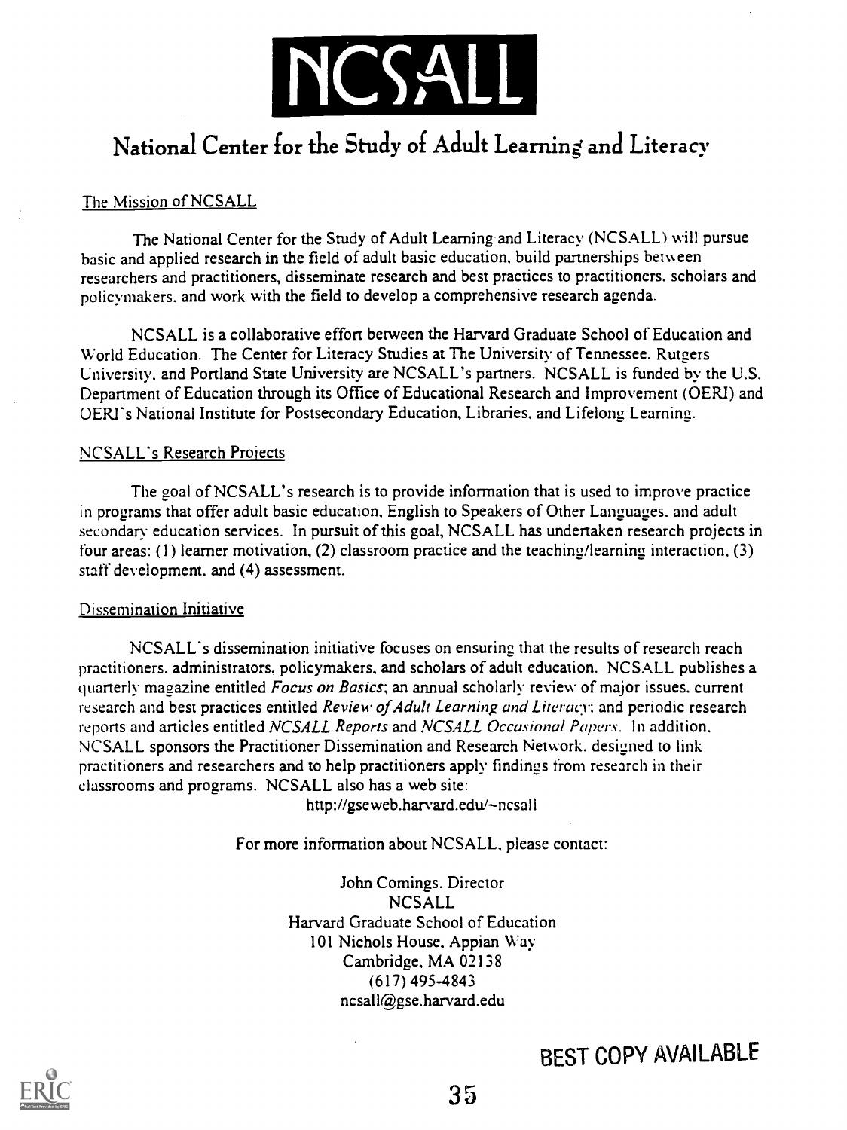

# National Center for the Study of Adult Learning and Literacy

#### The Mission of NCSALL

The National Center for the Study of Adult Learning and Literacy (NCSALL) will pursue basic and applied research in the field of adult basic education, build partnerships between researchers and practitioners, disseminate research and best practices to practitioners. scholars and policymakers. and work with the field to develop a comprehensive research agenda.

NCSALL is a collaborative effort between the Harvard Graduate School of Education and World Education. The Center for Literacy Studies at The University of Tennessee. Rutgers University. and Portland State University are NCSALL's partners. NCSALL is funded by the U.S. Department of Education through its Office of Educational Research and Improvement (OERI) and OERI's National Institute for Postsecondary Education, Libraries, and Lifelong Learning.

#### NCSALL's Research Projects

The goal of NCSALL's research is to provide information that is used to improve practice in programs that offer adult basic education, English to Speakers of Other Lanuuages. and adult secondary education services. In pursuit of this goal, NCSALL has undertaken research projects in four areas: (1) learner motivation, (2) classroom practice and the teaching/learning interaction, (3) staff development, and (4) assessment.

#### Dissemination Initiative

NCSALL's dissemination initiative focuses on ensuring that the results of research reach practitioners. administrators, policymakers. and scholars of adult education. NCSALL publishes a quarterly magazine entitled *Focus on Basics*; an annual scholarly review of major issues, current research and best practices entitled Review of Adult Learning and Literacy: and periodic research reports and articles entitled NCSALL Reports and NCSALL Occasional Papers. In addition, NCSALL sponsors the Practitioner Dissemination and Research Network. designed to link practitioners and researchers and to help practitioners apply findings from research in their classrooms and programs. NCSALL also has a web site:

http://gseweb.harvard.edu/~ncsall

For more information about NCSALL. please contact:

John Comings. Director NCSALL Harvard Graduate School of Education 101 Nichols House. Appian Way Cambridge, MA 02138 (617) 495-4843 ncsall@gse.harvard.edu



# BEST COPY AVAILABLE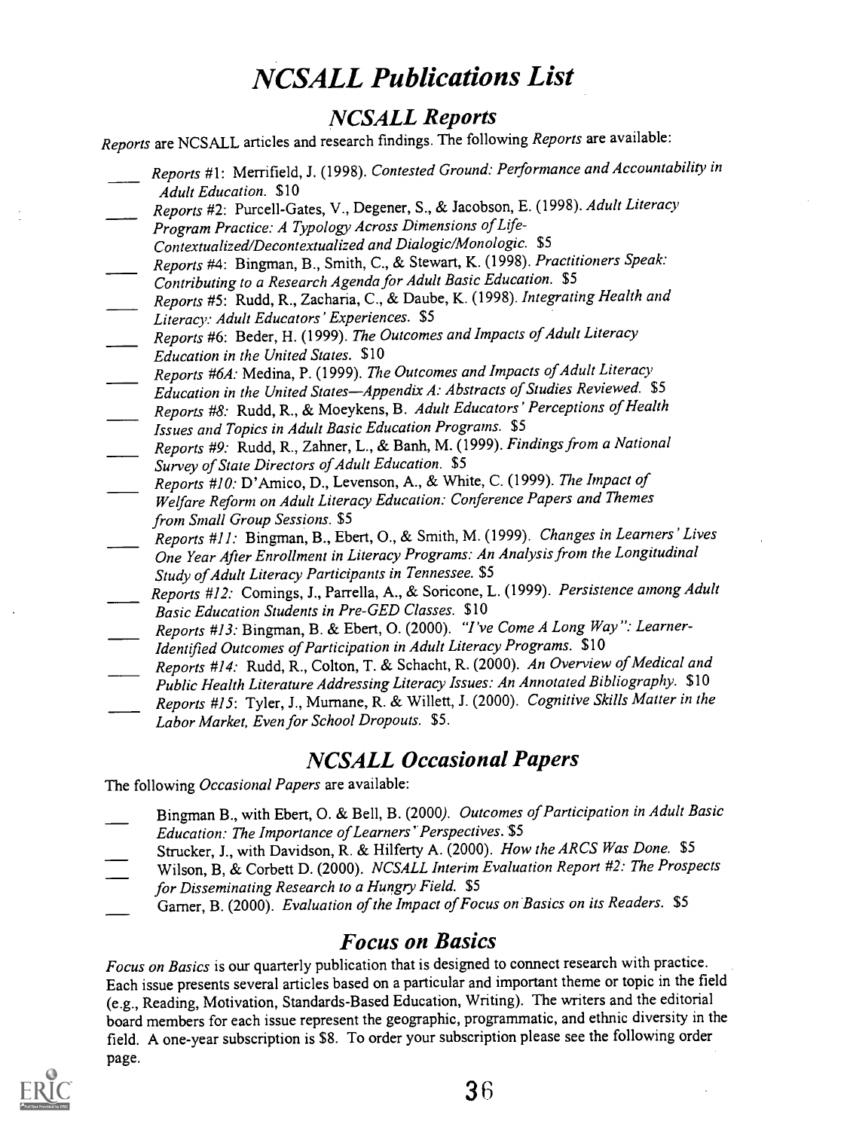# NCSALL Publications List

# NCSALL Reports

Reports are NCSALL articles and research findings. The following Reports are available:

- Reports #1: Merrifield, J. (1998). Contested Ground: Performance and Accountability in Adult Education. \$10
- Reports #2: Purcell-Gates, V., Degener, S., & Jacobson, E. (1998). Adult Literacy Program Practice: A Typology Across Dimensions of Life-
- Contextualized/Decontextualized and Dialogic/Monologic. \$5 Reports #4: Bingman, B., Smith, C., & Stewart, K. (1998). Practitioners Speak:
- Contributing to a Research Agenda for Adult Basic Education. \$5 Reports #5: Rudd, R., Zacharia, C., & Daube, K. (1998). Integrating Health and Literacy: Adult Educators' Experiences. \$5
- Reports #6: Beder, H. (1999). The Outcomes and Impacts of Adult Literacy Education in the United States. \$10
- Reports #6A: Medina, P. (1999). The Outcomes and Impacts of Adult Literacy Education in the United States-Appendix A: Abstracts of Studies Reviewed.  $$5$
- Reports #8. Rudd, R., & Moeykens, B. Adult Educators' Perceptions of Health Issues and Topics in Adult Basic Education Programs. \$5
- Reports #9: Rudd, R., Zahner, L., & Banh, M. (1999). Findings from a National Survey of State Directors of Adult Education. \$5
- Reports #10: D'Amico, D., Levenson, A., & White, C. (1999). The Impact of Welfare Reform on Adult Literacy Education: Conference Papers and Themes from Small Group Sessions. \$5
- Reports #11: Bingman, B., Ebert, O., & Smith, M. (1999). Changes in Learners' Lives One Year After Enrollment in Literacy Programs: An Analysis from the Longitudinal Study of Adult Literacy Participants in Tennessee. \$5
- Reports #12: Comings, J., Parrella, A., & Soricone, L. (1999). Persistence among Adult Basic Education Students in Pre-GED Classes. \$10
- Reports #13: Bingman, B. & Ebert, 0. (2000). "I've Come A Long Way": Learner-Identified Outcomes of Participation in Adult Literacy Programs. \$10
- Reports #14: Rudd, R., Colton, T. & Schacht, R. (2000). An Overview of Medical and Public Health Literature Addressing Literacy Issues: An Annotated Bibliography. \$10 Reports #15: Tyler, J., Murnane, R. & Willett, J. (2000). Cognitive Skills Matter in the Labor Market, Even for School Dropouts. \$5.

# NCSALL Occasional Papers

The following Occasional Papers are available:

- Bingman B., with Ebert, 0. & Bell, B. (2000). Outcomes of Participation in Adult Basic Education: The Importance of Learners' Perspectives. \$5
- Strucker, J., with Davidson, R. & Hilferty A. (2000). How the ARCS Was Done. \$5
	- Wilson, B, & Corbett D. (2000). NCSALL Interim Evaluation Report #2: The Prospects for Disseminating Research to a Hungry Field. \$5
- Garner, B. (2000). Evaluation of the Impact of Focus on Basics on its Readers. \$5

# Focus on Basics

Focus on Basics is our quarterly publication that is designed to connect research with practice. Each issue presents several articles based on a particular and important theme or topic in the field (e.g., Reading, Motivation, Standards-Based Education, Writing). The writers and the editorial board members for each issue represent the geographic, programmatic, and ethnic diversity in the field. A one-year subscription is \$8. To order your subscription please see the following order page.



36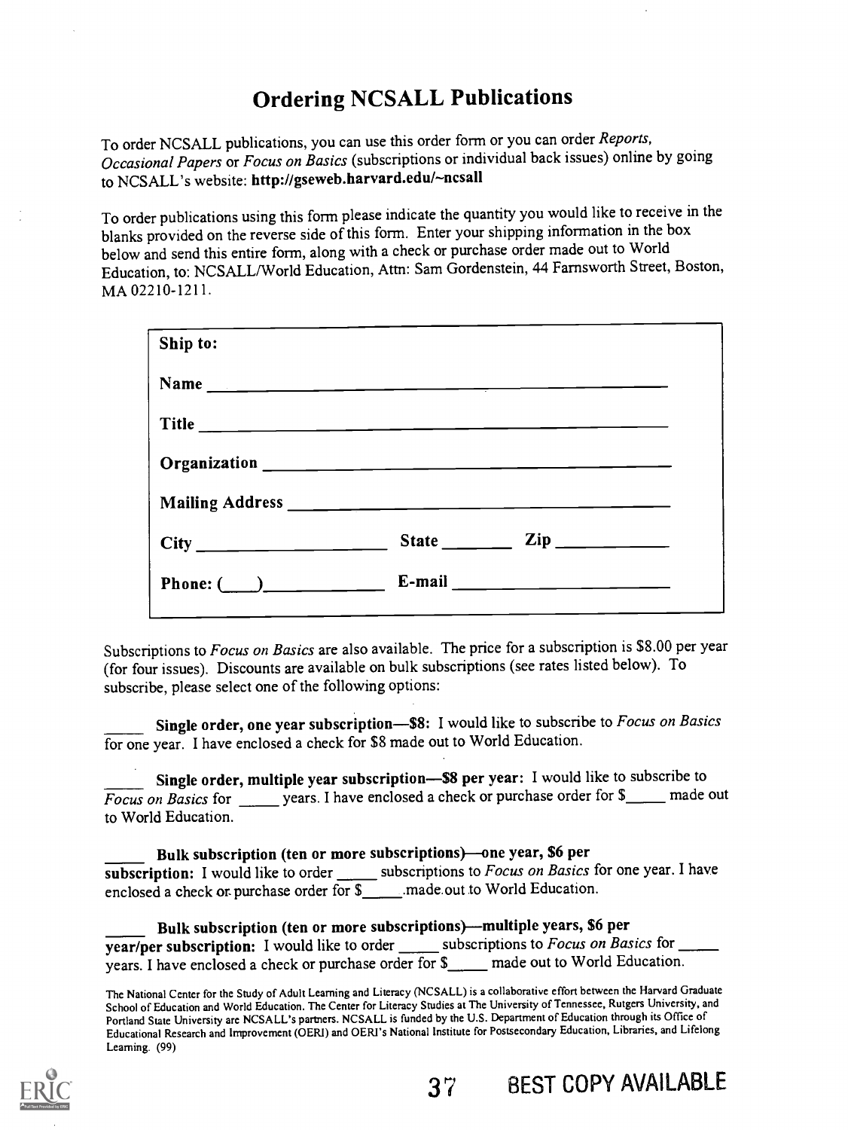# Ordering NCSALL Publications

To order NCSALL publications, you can use this order form or you can order Reports, Occasional Papers or Focus on Basics (subscriptions or individual back issues) online by going to NCSALL's website: http://gseweb.harvard.edu/~ncsall

To order publications using this form please indicate the quantity you would like to receive in the blanks provided on the reverse side of this form. Enter your shipping information in the box below and send this entire form, along with a check or purchase order made out to World Education, to: NCSALL/World Education, Attn: Sam Gordenstein, 44 Farnsworth Street, Boston, MA 02210-1211.

| Ship to:               |                                                                                                                                                                                                                                                                                                                                                                    |
|------------------------|--------------------------------------------------------------------------------------------------------------------------------------------------------------------------------------------------------------------------------------------------------------------------------------------------------------------------------------------------------------------|
|                        |                                                                                                                                                                                                                                                                                                                                                                    |
|                        |                                                                                                                                                                                                                                                                                                                                                                    |
|                        |                                                                                                                                                                                                                                                                                                                                                                    |
|                        |                                                                                                                                                                                                                                                                                                                                                                    |
|                        | State $\frac{1}{\sqrt{2}}$ $\frac{1}{\sqrt{2}}$ $\frac{1}{\sqrt{2}}$ $\frac{1}{\sqrt{2}}$ $\frac{1}{\sqrt{2}}$ $\frac{1}{\sqrt{2}}$ $\frac{1}{\sqrt{2}}$ $\frac{1}{\sqrt{2}}$ $\frac{1}{\sqrt{2}}$ $\frac{1}{\sqrt{2}}$ $\frac{1}{\sqrt{2}}$ $\frac{1}{\sqrt{2}}$ $\frac{1}{\sqrt{2}}$ $\frac{1}{\sqrt{2}}$ $\frac{1}{\sqrt{2}}$ $\frac{1}{\sqrt{2}}$ $\frac{1}{\$ |
| Phone: $\qquad \qquad$ |                                                                                                                                                                                                                                                                                                                                                                    |

Subscriptions to Focus on Basics are also available. The price for a subscription is \$8.00 per year (for four issues). Discounts are available on bulk subscriptions (see rates listed below). To subscribe, please select one of the following options:

Single order, one year subscription-\$8: I would like to subscribe to Focus on Basics for one year. I have enclosed a check for \$8 made out to World Education.

Single order, multiple year subscription—\$8 per year: I would like to subscribe to  $\sqrt{Focks}$  on Basics for  $\frac{1}{\sqrt{Focks}}$  years. I have enclosed a check or purchase order for  $\frac{1}{\sqrt{Focks}}$  made out to World Education.

Bulk subscription (ten or more subscriptions)—one year, \$6 per subscription: I would like to order  $\frac{1}{\sqrt{2}}$  subscriptions to *Focus on Basics* for one year. I have enclosed a check or purchase order for \$ \_\_\_\_\_\_ made out to World Education.

Bulk subscription (ten or more subscriptions)—multiple years, \$6 per  $\overline{year/per}$  subscription: I would like to order subscriptions to *Focus on Basics* for  $\overline{\phantom{xxxxx}}$ years. I have enclosed a check or purchase order for \$\_\_\_\_ made out to World Education.

The National Center for the Study of Adult Learning and Literacy (NCSALL) is a collaborative effort between the Harvard Graduate School of Education and World Education. The Center for Literacy Studies at The University of Tennessee, Rutgers University, and Portland State University are NCSALL's partners. NCSALL is funded by the U.S. Department of Education through its Office of Educational Research and Improvement (OERI) and OERI's National Institute for Postsecondary Education, Libraries, and Lifelong Learning. (99)

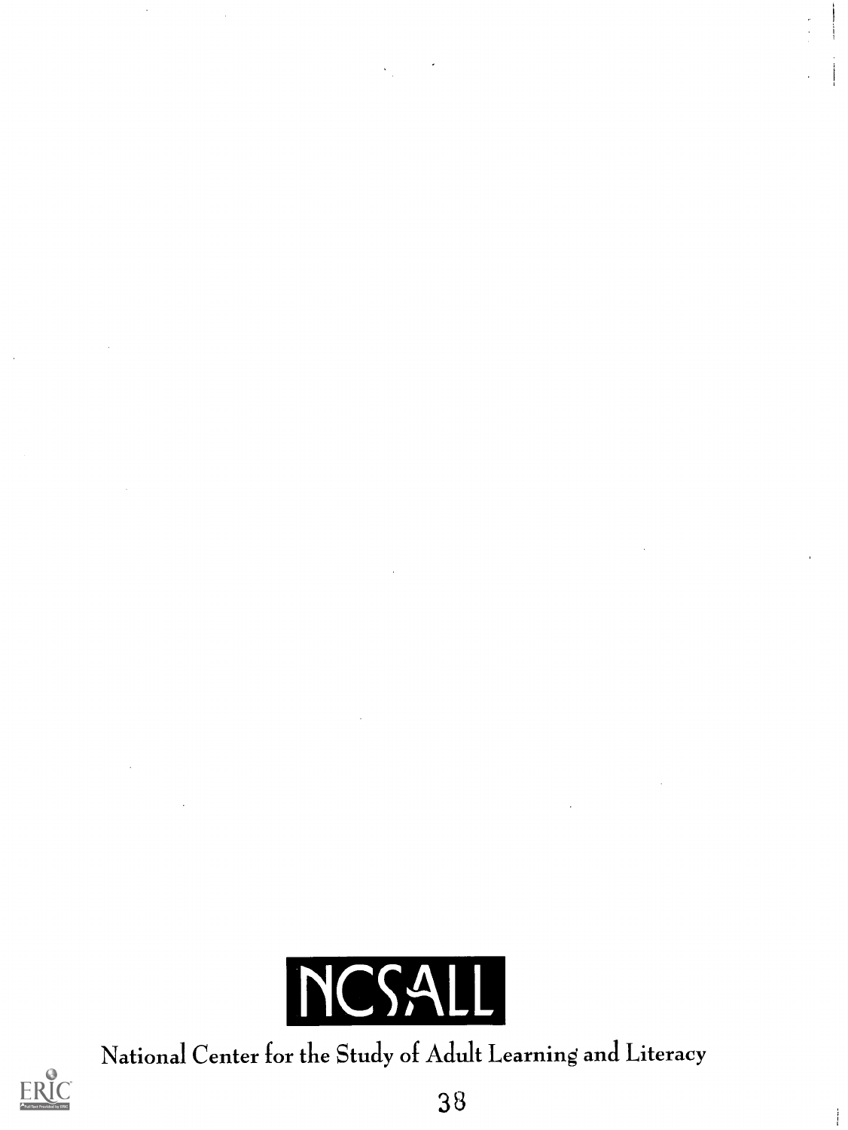

National Center for the Study of Adult Learning and Literacy



 $\mathcal{A}$ 

38

 $\mathbf i$